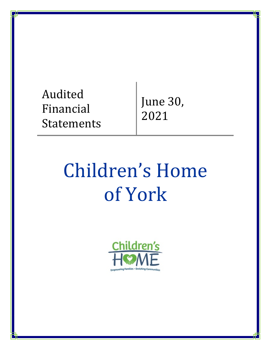# Audited Financial Statements

June 30, 2021

# Children's Home of York

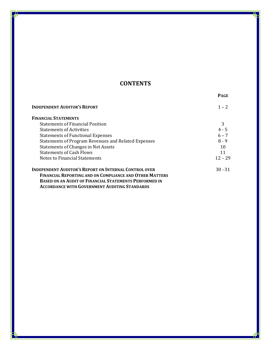# **CONTENTS**

وار

|                                                                | <b>PAGE</b> |
|----------------------------------------------------------------|-------------|
| <b>INDEPENDENT AUDITOR'S REPORT</b>                            | $1 - 2$     |
| <b>FINANCIAL STATEMENTS</b>                                    |             |
| <b>Statements of Financial Position</b>                        | 3           |
| <b>Statements of Activities</b>                                | $4 - 5$     |
| <b>Statements of Functional Expenses</b>                       | $6 - 7$     |
| <b>Statements of Program Revenues and Related Expenses</b>     | $8 - 9$     |
| <b>Statements of Changes in Net Assets</b>                     | 10          |
| <b>Statements of Cash Flows</b>                                | 11          |
| Notes to Financial Statements                                  | $12 - 29$   |
| <b>INDEPENDENT AUDITOR'S REPORT ON INTERNAL CONTROL OVER</b>   | $30 - 31$   |
| <b>FINANCIAL REPORTING AND ON COMPLIANCE AND OTHER MATTERS</b> |             |
| <b>BASED ON AN AUDIT OF FINANCIAL STATEMENTS PERFORMED IN</b>  |             |
| <b>ACCORDANCE WITH GOVERNMENT AUDITING STANDARDS</b>           |             |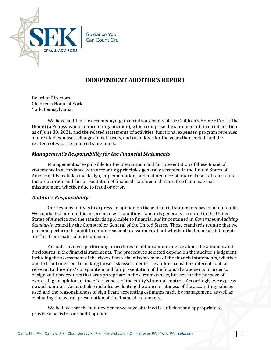

# **INDEPENDENT AUDITOR'S REPORT**

Board of Directors Children's Home of York York, Pennsylvania

We have audited the accompanying financial statements of the Children's Home of York (the Home) (a Pennsylvania nonprofit organization), which comprise the statement of financial position as of June 30, 2021, and the related statements of activities, functional expenses, program revenues and related expenses, changes in net assets, and cash flows for the years then ended, and the related notes to the financial statements.

#### *Management's Responsibility for the Financial Statements*

Management is responsible for the preparation and fair presentation of these financial statements in accordance with accounting principles generally accepted in the United States of America; this includes the design, implementation, and maintenance of internal control relevant to the preparation and fair presentation of financial statements that are free from material misstatement, whether due to fraud or error.

#### *Auditor's Responsibility*

Our responsibility is to express an opinion on these financial statements based on our audit. We conducted our audit in accordance with auditing standards generally accepted in the United States of America and the standards applicable to financial audits contained in *Government Auditing Standards*, issued by the Comptroller General of the United States. Those standards require that we plan and perform the audit to obtain reasonable assurance about whether the financial statements are free from material misstatement.

An audit involves performing procedures to obtain audit evidence about the amounts and disclosures in the financial statements. The procedures selected depend on the auditor's judgment, including the assessment of the risks of material misstatement of the financial statements, whether due to fraud or error. In making those risk assessments, the auditor considers internal control relevant to the entity's preparation and fair presentation of the financial statements in order to design audit procedures that are appropriate in the circumstances, but not for the purpose of expressing an opinion on the effectiveness of the entity's internal control. Accordingly, we express no such opinion. An audit also includes evaluating the appropriateness of the accounting policies used and the reasonableness of significant accounting estimates made by management, as well as evaluating the overall presentation of the financial statements.

We believe that the audit evidence we have obtained is sufficient and appropriate to provide a basis for our audit opinion.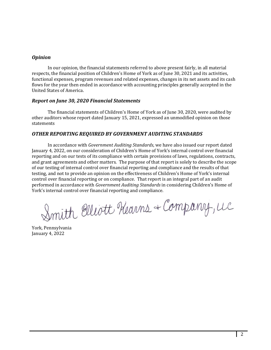#### *Opinion*

In our opinion, the financial statements referred to above present fairly, in all material respects, the financial position of Children's Home of York as of June 30, 2021 and its activities, functional expenses, program revenues and related expenses, changes in its net assets and its cash flows for the year then ended in accordance with accounting principles generally accepted in the United States of America.

#### *Report on June 30, 2020 Financial Statements*

The financial statements of Children's Home of York as of June 30, 2020, were audited by other auditors whose report dated January 15, 2021, expressed an unmodified opinion on those statements

#### *OTHER REPORTING REQUIRED BY GOVERNMENT AUDITING STANDARDS*

In accordance with *Government Auditing Standards*, we have also issued our report dated January 4, 2022, on our consideration of Children's Home of York's internal control over financial reporting and on our tests of its compliance with certain provisions of laws, regulations, contracts, and grant agreements and other matters. The purpose of that report is solely to describe the scope of our testing of internal control over financial reporting and compliance and the results of that testing, and not to provide an opinion on the effectiveness of Children's Home of York's internal control over financial reporting or on compliance. That report is an integral part of an audit performed in accordance with *Government Auditing Standards* in considering Children's Home of York's internal control over financial reporting and compliance.

Smith Elliott Hearns + Company, uc

York, Pennsylvania January 4, 2022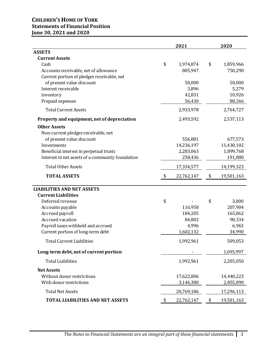# **CHILDREN'S HOME OF YORK Statements of Financial Position June 30, 2021 and 2020**

| <b>ASSETS</b><br><b>Current Assets</b><br>\$<br>Cash<br>1,974,874<br>\$<br>1,859,966<br>805,947<br>Accounts receivable, net of allowance<br>750,290<br>Current portion of pledges receivable, net<br>of present value discount<br>50,000<br>50,000<br>Interest receivable<br>5,279<br>3,896<br>42,831<br>10,926<br>Inventory<br>Prepaid expenses<br>56,430<br>88,266<br><b>Total Current Assets</b><br>2,933,978<br>2,764,727<br>Property and equipment, net of depreciation<br>2,493,592<br>2,537,113<br><b>Other Assets</b><br>Non-current pledges receivable, net<br>of present value discount<br>556,881<br>677,573<br>14,236,197<br>11,430,102<br>Investments<br>Beneficial interest in perpetual trusts<br>2,283,063<br>1,899,768<br>Interest in net assets of a community foundation<br>258,436<br>191,880<br><b>Total Other Assets</b><br>17,334,577<br>14,199,323<br><b>TOTAL ASSETS</b><br>22,762,147<br>19,501,163<br>\$<br>-\$<br><b>LIABILITIES AND NET ASSETS</b><br><b>Current Liabilities</b><br>Deferred revenue<br>\$<br>\$<br>3,000<br>207,904<br>Accounts payable<br>116,958<br>Accrued payroll<br>165,862<br>184,205<br>Accrued vacation<br>90,334<br>84,802<br>Payroll taxes withheld and accrued<br>4,996<br>6,963<br>Current portion of long-term debt<br>1,602,132<br>34,990<br><b>Total Current Liabilities</b><br>509,053<br>1,992,961<br>Long-term debt, net of current portion<br>1,695,997<br><b>Total Liabilities</b><br>1,992,961<br>2,205,050<br><b>Net Assets</b><br>Without donor restrictions<br>17,622,806<br>14,440,223<br>With donor restrictions<br>3,146,380<br>2,855,890<br><b>Total Net Assets</b><br>20,769,186<br>17,296,113 |  | 2021 | 2020 |  |  |
|---------------------------------------------------------------------------------------------------------------------------------------------------------------------------------------------------------------------------------------------------------------------------------------------------------------------------------------------------------------------------------------------------------------------------------------------------------------------------------------------------------------------------------------------------------------------------------------------------------------------------------------------------------------------------------------------------------------------------------------------------------------------------------------------------------------------------------------------------------------------------------------------------------------------------------------------------------------------------------------------------------------------------------------------------------------------------------------------------------------------------------------------------------------------------------------------------------------------------------------------------------------------------------------------------------------------------------------------------------------------------------------------------------------------------------------------------------------------------------------------------------------------------------------------------------------------------------------------------------------------------------------------------------------------------|--|------|------|--|--|
|                                                                                                                                                                                                                                                                                                                                                                                                                                                                                                                                                                                                                                                                                                                                                                                                                                                                                                                                                                                                                                                                                                                                                                                                                                                                                                                                                                                                                                                                                                                                                                                                                                                                           |  |      |      |  |  |
|                                                                                                                                                                                                                                                                                                                                                                                                                                                                                                                                                                                                                                                                                                                                                                                                                                                                                                                                                                                                                                                                                                                                                                                                                                                                                                                                                                                                                                                                                                                                                                                                                                                                           |  |      |      |  |  |
|                                                                                                                                                                                                                                                                                                                                                                                                                                                                                                                                                                                                                                                                                                                                                                                                                                                                                                                                                                                                                                                                                                                                                                                                                                                                                                                                                                                                                                                                                                                                                                                                                                                                           |  |      |      |  |  |
|                                                                                                                                                                                                                                                                                                                                                                                                                                                                                                                                                                                                                                                                                                                                                                                                                                                                                                                                                                                                                                                                                                                                                                                                                                                                                                                                                                                                                                                                                                                                                                                                                                                                           |  |      |      |  |  |
|                                                                                                                                                                                                                                                                                                                                                                                                                                                                                                                                                                                                                                                                                                                                                                                                                                                                                                                                                                                                                                                                                                                                                                                                                                                                                                                                                                                                                                                                                                                                                                                                                                                                           |  |      |      |  |  |
|                                                                                                                                                                                                                                                                                                                                                                                                                                                                                                                                                                                                                                                                                                                                                                                                                                                                                                                                                                                                                                                                                                                                                                                                                                                                                                                                                                                                                                                                                                                                                                                                                                                                           |  |      |      |  |  |
|                                                                                                                                                                                                                                                                                                                                                                                                                                                                                                                                                                                                                                                                                                                                                                                                                                                                                                                                                                                                                                                                                                                                                                                                                                                                                                                                                                                                                                                                                                                                                                                                                                                                           |  |      |      |  |  |
|                                                                                                                                                                                                                                                                                                                                                                                                                                                                                                                                                                                                                                                                                                                                                                                                                                                                                                                                                                                                                                                                                                                                                                                                                                                                                                                                                                                                                                                                                                                                                                                                                                                                           |  |      |      |  |  |
|                                                                                                                                                                                                                                                                                                                                                                                                                                                                                                                                                                                                                                                                                                                                                                                                                                                                                                                                                                                                                                                                                                                                                                                                                                                                                                                                                                                                                                                                                                                                                                                                                                                                           |  |      |      |  |  |
|                                                                                                                                                                                                                                                                                                                                                                                                                                                                                                                                                                                                                                                                                                                                                                                                                                                                                                                                                                                                                                                                                                                                                                                                                                                                                                                                                                                                                                                                                                                                                                                                                                                                           |  |      |      |  |  |
|                                                                                                                                                                                                                                                                                                                                                                                                                                                                                                                                                                                                                                                                                                                                                                                                                                                                                                                                                                                                                                                                                                                                                                                                                                                                                                                                                                                                                                                                                                                                                                                                                                                                           |  |      |      |  |  |
|                                                                                                                                                                                                                                                                                                                                                                                                                                                                                                                                                                                                                                                                                                                                                                                                                                                                                                                                                                                                                                                                                                                                                                                                                                                                                                                                                                                                                                                                                                                                                                                                                                                                           |  |      |      |  |  |
|                                                                                                                                                                                                                                                                                                                                                                                                                                                                                                                                                                                                                                                                                                                                                                                                                                                                                                                                                                                                                                                                                                                                                                                                                                                                                                                                                                                                                                                                                                                                                                                                                                                                           |  |      |      |  |  |
|                                                                                                                                                                                                                                                                                                                                                                                                                                                                                                                                                                                                                                                                                                                                                                                                                                                                                                                                                                                                                                                                                                                                                                                                                                                                                                                                                                                                                                                                                                                                                                                                                                                                           |  |      |      |  |  |
|                                                                                                                                                                                                                                                                                                                                                                                                                                                                                                                                                                                                                                                                                                                                                                                                                                                                                                                                                                                                                                                                                                                                                                                                                                                                                                                                                                                                                                                                                                                                                                                                                                                                           |  |      |      |  |  |
|                                                                                                                                                                                                                                                                                                                                                                                                                                                                                                                                                                                                                                                                                                                                                                                                                                                                                                                                                                                                                                                                                                                                                                                                                                                                                                                                                                                                                                                                                                                                                                                                                                                                           |  |      |      |  |  |
|                                                                                                                                                                                                                                                                                                                                                                                                                                                                                                                                                                                                                                                                                                                                                                                                                                                                                                                                                                                                                                                                                                                                                                                                                                                                                                                                                                                                                                                                                                                                                                                                                                                                           |  |      |      |  |  |
|                                                                                                                                                                                                                                                                                                                                                                                                                                                                                                                                                                                                                                                                                                                                                                                                                                                                                                                                                                                                                                                                                                                                                                                                                                                                                                                                                                                                                                                                                                                                                                                                                                                                           |  |      |      |  |  |
|                                                                                                                                                                                                                                                                                                                                                                                                                                                                                                                                                                                                                                                                                                                                                                                                                                                                                                                                                                                                                                                                                                                                                                                                                                                                                                                                                                                                                                                                                                                                                                                                                                                                           |  |      |      |  |  |
|                                                                                                                                                                                                                                                                                                                                                                                                                                                                                                                                                                                                                                                                                                                                                                                                                                                                                                                                                                                                                                                                                                                                                                                                                                                                                                                                                                                                                                                                                                                                                                                                                                                                           |  |      |      |  |  |
|                                                                                                                                                                                                                                                                                                                                                                                                                                                                                                                                                                                                                                                                                                                                                                                                                                                                                                                                                                                                                                                                                                                                                                                                                                                                                                                                                                                                                                                                                                                                                                                                                                                                           |  |      |      |  |  |
|                                                                                                                                                                                                                                                                                                                                                                                                                                                                                                                                                                                                                                                                                                                                                                                                                                                                                                                                                                                                                                                                                                                                                                                                                                                                                                                                                                                                                                                                                                                                                                                                                                                                           |  |      |      |  |  |
|                                                                                                                                                                                                                                                                                                                                                                                                                                                                                                                                                                                                                                                                                                                                                                                                                                                                                                                                                                                                                                                                                                                                                                                                                                                                                                                                                                                                                                                                                                                                                                                                                                                                           |  |      |      |  |  |
|                                                                                                                                                                                                                                                                                                                                                                                                                                                                                                                                                                                                                                                                                                                                                                                                                                                                                                                                                                                                                                                                                                                                                                                                                                                                                                                                                                                                                                                                                                                                                                                                                                                                           |  |      |      |  |  |
|                                                                                                                                                                                                                                                                                                                                                                                                                                                                                                                                                                                                                                                                                                                                                                                                                                                                                                                                                                                                                                                                                                                                                                                                                                                                                                                                                                                                                                                                                                                                                                                                                                                                           |  |      |      |  |  |
|                                                                                                                                                                                                                                                                                                                                                                                                                                                                                                                                                                                                                                                                                                                                                                                                                                                                                                                                                                                                                                                                                                                                                                                                                                                                                                                                                                                                                                                                                                                                                                                                                                                                           |  |      |      |  |  |
|                                                                                                                                                                                                                                                                                                                                                                                                                                                                                                                                                                                                                                                                                                                                                                                                                                                                                                                                                                                                                                                                                                                                                                                                                                                                                                                                                                                                                                                                                                                                                                                                                                                                           |  |      |      |  |  |
|                                                                                                                                                                                                                                                                                                                                                                                                                                                                                                                                                                                                                                                                                                                                                                                                                                                                                                                                                                                                                                                                                                                                                                                                                                                                                                                                                                                                                                                                                                                                                                                                                                                                           |  |      |      |  |  |
|                                                                                                                                                                                                                                                                                                                                                                                                                                                                                                                                                                                                                                                                                                                                                                                                                                                                                                                                                                                                                                                                                                                                                                                                                                                                                                                                                                                                                                                                                                                                                                                                                                                                           |  |      |      |  |  |
|                                                                                                                                                                                                                                                                                                                                                                                                                                                                                                                                                                                                                                                                                                                                                                                                                                                                                                                                                                                                                                                                                                                                                                                                                                                                                                                                                                                                                                                                                                                                                                                                                                                                           |  |      |      |  |  |
|                                                                                                                                                                                                                                                                                                                                                                                                                                                                                                                                                                                                                                                                                                                                                                                                                                                                                                                                                                                                                                                                                                                                                                                                                                                                                                                                                                                                                                                                                                                                                                                                                                                                           |  |      |      |  |  |
|                                                                                                                                                                                                                                                                                                                                                                                                                                                                                                                                                                                                                                                                                                                                                                                                                                                                                                                                                                                                                                                                                                                                                                                                                                                                                                                                                                                                                                                                                                                                                                                                                                                                           |  |      |      |  |  |
|                                                                                                                                                                                                                                                                                                                                                                                                                                                                                                                                                                                                                                                                                                                                                                                                                                                                                                                                                                                                                                                                                                                                                                                                                                                                                                                                                                                                                                                                                                                                                                                                                                                                           |  |      |      |  |  |
|                                                                                                                                                                                                                                                                                                                                                                                                                                                                                                                                                                                                                                                                                                                                                                                                                                                                                                                                                                                                                                                                                                                                                                                                                                                                                                                                                                                                                                                                                                                                                                                                                                                                           |  |      |      |  |  |
| <b>TOTAL LIABILITIES AND NET ASSETS</b><br>\$<br>22,762,147<br>\$<br>19,501,163                                                                                                                                                                                                                                                                                                                                                                                                                                                                                                                                                                                                                                                                                                                                                                                                                                                                                                                                                                                                                                                                                                                                                                                                                                                                                                                                                                                                                                                                                                                                                                                           |  |      |      |  |  |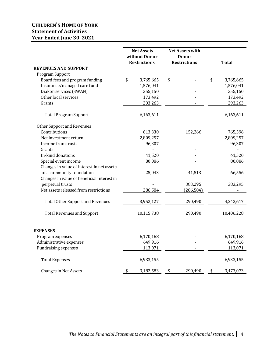# **CHILDREN'S HOME OF YORK Statement of Activities Year Ended June 30, 2021**

|                                            | <b>Net Assets</b><br>without Donor<br><b>Restrictions</b> |            | Net Assets with<br>Donor<br><b>Restrictions</b> | <b>Total</b>    |
|--------------------------------------------|-----------------------------------------------------------|------------|-------------------------------------------------|-----------------|
| <b>REVENUES AND SUPPORT</b>                |                                                           |            |                                                 |                 |
| Program Support                            |                                                           |            |                                                 |                 |
| Board fees and program funding             | \$                                                        | 3,765,665  | \$                                              | \$<br>3,765,665 |
| Insurance/managed care fund                |                                                           | 1,576,041  |                                                 | 1,576,041       |
| Diakon services (SWAN)                     |                                                           | 355,150    |                                                 | 355,150         |
| Other local services                       |                                                           | 173,492    |                                                 | 173,492         |
| Grants                                     |                                                           | 293,263    |                                                 | 293,263         |
| <b>Total Program Support</b>               |                                                           | 6,163,611  |                                                 | 6,163,611       |
| Other Support and Revenues                 |                                                           |            |                                                 |                 |
| Contributions                              |                                                           | 613,330    | 152,266                                         | 765,596         |
| Net investment return                      |                                                           | 2,809,257  |                                                 | 2,809,257       |
| Income from trusts                         |                                                           | 96,307     |                                                 | 96,307          |
| Grants                                     |                                                           |            |                                                 |                 |
| In-kind donations                          |                                                           | 41,520     |                                                 | 41,520          |
| Special event income                       |                                                           | 80,086     |                                                 | 80,086          |
| Changes in value of interest in net assets |                                                           |            |                                                 |                 |
| of a community foundation                  |                                                           | 25,043     | 41,513                                          | 66,556          |
| Changes in value of beneficial interest in |                                                           |            |                                                 |                 |
| perpetual trusts                           |                                                           |            | 383,295                                         | 383,295         |
| Net assets released from restrictions      |                                                           | 286,584    | (286, 584)                                      |                 |
| <b>Total Other Support and Revenues</b>    |                                                           | 3,952,127  | 290,490                                         | 4,242,617       |
| <b>Total Revenues and Support</b>          |                                                           | 10,115,738 | 290,490                                         | 10,406,228      |
| <b>EXPENSES</b>                            |                                                           |            |                                                 |                 |
| Program expenses                           |                                                           | 6,170,168  |                                                 | 6,170,168       |
| Administrative expenses                    |                                                           | 649,916    |                                                 | 649,916         |
| <b>Fundraising expenses</b>                |                                                           | 113,071    |                                                 | 113,071         |
| <b>Total Expenses</b>                      |                                                           | 6,933,155  |                                                 | 6,933,155       |
| <b>Changes in Net Assets</b>               | \$                                                        | 3,182,583  | \$<br>290,490                                   | \$<br>3,473,073 |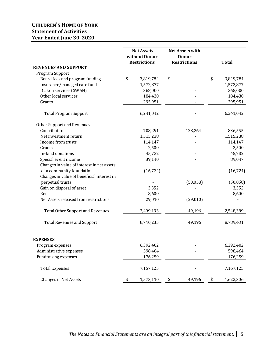# **CHILDREN'S HOME OF YORK Statement of Activities Year Ended June 30, 2020**

|                                            | <b>Net Assets</b><br>without Donor<br><b>Restrictions</b> |           | <b>Net Assets with</b><br><b>Donor</b><br><b>Restrictions</b> | <b>Total</b>    |
|--------------------------------------------|-----------------------------------------------------------|-----------|---------------------------------------------------------------|-----------------|
| <b>REVENUES AND SUPPORT</b>                |                                                           |           |                                                               |                 |
| Program Support                            |                                                           |           |                                                               |                 |
| Board fees and program funding             | \$                                                        | 3,819,784 | \$                                                            | \$<br>3,819,784 |
| Insurance/managed care fund                |                                                           | 1,572,877 |                                                               | 1,572,877       |
| Diakon services (SWAN)                     |                                                           | 368,000   |                                                               | 368,000         |
| Other local services                       |                                                           | 184,430   |                                                               | 184,430         |
| Grants                                     |                                                           | 295,951   |                                                               | 295,951         |
| <b>Total Program Support</b>               |                                                           | 6,241,042 |                                                               | 6,241,042       |
| Other Support and Revenues                 |                                                           |           |                                                               |                 |
| Contributions                              |                                                           | 708,291   | 128,264                                                       | 836,555         |
| Net investment return                      |                                                           | 1,515,238 |                                                               | 1,515,238       |
| Income from trusts                         |                                                           | 114,147   |                                                               | 114,147         |
| Grants                                     |                                                           | 2,500     |                                                               | 2,500           |
| In-kind donations                          |                                                           | 45,732    |                                                               | 45,732          |
| Special event income                       |                                                           | 89,140    |                                                               | 89,047          |
| Changes in value of interest in net assets |                                                           |           |                                                               |                 |
| of a community foundation                  |                                                           | (16, 724) |                                                               | (16, 724)       |
| Changes in value of beneficial interest in |                                                           |           |                                                               |                 |
| perpetual trusts                           |                                                           |           | (50,058)                                                      | (50,058)        |
| Gain on disposal of asset                  |                                                           | 3,352     |                                                               | 3,352           |
| Rent                                       |                                                           | 8,600     |                                                               | 8,600           |
| Net Assets released from restrictions      |                                                           | 29,010    | (29, 010)                                                     |                 |
| <b>Total Other Support and Revenues</b>    |                                                           | 2,499,193 | 49,196                                                        | 2,548,389       |
| <b>Total Revenues and Support</b>          |                                                           | 8,740,235 | 49,196                                                        | 8,789,431       |
| <b>EXPENSES</b>                            |                                                           |           |                                                               |                 |
| Program expenses                           |                                                           | 6,392,402 |                                                               | 6,392,402       |
| Administrative expenses                    |                                                           | 598,464   |                                                               | 598,464         |
| <b>Fundraising expenses</b>                |                                                           | 176,259   |                                                               | 176,259         |
| <b>Total Expenses</b>                      |                                                           | 7,167,125 |                                                               | 7,167,125       |
| <b>Changes in Net Assets</b>               | \$                                                        | 1,573,110 | \$<br>49,196                                                  | \$<br>1,622,306 |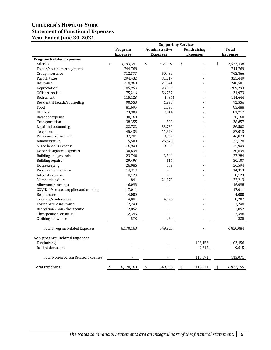# **CHILDREN'S HOME OF YORK Statement of Functional Expenses Year Ended June 30, 2021**

|                                        |                 | <b>Supporting Services</b> |                         |                    |                         |                 |
|----------------------------------------|-----------------|----------------------------|-------------------------|--------------------|-------------------------|-----------------|
|                                        | Program         | Administrative             |                         | <b>Fundraising</b> |                         | Total           |
|                                        | <b>Expenses</b> | <b>Expenses</b>            |                         | <b>Expenses</b>    |                         | <b>Expenses</b> |
| <b>Program Related Expenses</b>        |                 |                            |                         |                    |                         |                 |
| Salaries                               | \$<br>3,193,341 | \$<br>334,097              | \$                      |                    | \$                      | 3,527,438       |
| Foster/host homes payments             | 744,769         |                            |                         | ÷,                 |                         | 744,769         |
| Group insurance                        | 712,377         | 50,489                     |                         |                    |                         | 762,866         |
| Payroll taxes                          | 294,432         | 31,017                     |                         |                    |                         | 325,449         |
| Insurance                              | 218,960         | 21,541                     |                         |                    |                         | 240,501         |
| Depreciation                           | 185,953         | 23,340                     |                         |                    |                         | 209,293         |
| Office supplies                        | 75,216          | 56,757                     |                         |                    |                         | 131,973         |
| Retirement                             | 115,128         | (484)                      |                         |                    |                         | 114,644         |
| Residential health/counseling          | 90,558          | 1,998                      |                         |                    |                         | 92,556          |
| Food                                   | 81,695          | 1,793                      |                         |                    |                         | 83,488          |
| <b>Utilities</b>                       | 73,903          | 7,814                      |                         |                    |                         | 81,717          |
| Bad debt expense                       | 30,160          | $\blacksquare$             |                         |                    |                         | 30,160          |
| Transportation                         | 38,355          | 502                        |                         |                    |                         | 38,857          |
| Legal and accounting                   | 22,722          | 33,780                     |                         |                    |                         | 56,502          |
| Telephone                              | 45,435          | 11,578                     |                         |                    |                         | 57,013          |
| Personnel recruitment                  | 37,281          | 9,592                      |                         |                    |                         | 46,873          |
| Administrative                         | 5,500           | 26,678                     |                         |                    |                         | 32,178          |
| Miscellaneous expense                  | 16,940          | 9,009                      |                         |                    |                         | 25,949          |
| Donor designated expenses              | 30,634          |                            |                         |                    |                         | 30,634          |
| Building and grounds                   | 23,740          | 3,544                      |                         |                    |                         | 27,284          |
| <b>Building repairs</b>                | 29,493          | 614                        |                         |                    |                         | 30,107          |
| Housekeeping                           | 26,085          | 509                        |                         |                    |                         | 26,594          |
| Repairs/maintenance                    | 14,313          | $\blacksquare$             |                         |                    |                         | 14,313          |
| Interest expense                       | 8,123           |                            |                         |                    |                         | 8,123           |
| Membership dues                        | 841             | 21,372                     |                         |                    |                         | 22,213          |
| Allowance/earnings                     | 16,098          | $\overline{a}$             |                         |                    |                         | 16,098          |
| COVID-19 related supplies and training | 17,011          |                            |                         |                    |                         | 17,011          |
| Respite care                           | 4,000           |                            |                         |                    |                         | 4,000           |
| Training/conferences                   | 4,081           | 4,126                      |                         |                    |                         | 8,207           |
| Foster parent insurance                | 7,248           |                            |                         |                    |                         | 7,248           |
| Recreation - non - therapeutic         | 2,852           | $\sim$                     |                         |                    |                         | 2,852           |
| Therapeutic recreation                 | 2,346           | $\overline{a}$             |                         |                    |                         | 2,346           |
| Clothing allowance                     | 578             | 250                        |                         |                    |                         | 828             |
|                                        |                 |                            |                         |                    |                         |                 |
| <b>Total Program Related Expenses</b>  | 6,170,168       | 649,916                    |                         |                    |                         | 6,820,084       |
| <b>Non-program Related Expenses</b>    |                 |                            |                         |                    |                         |                 |
| Fundraising                            |                 |                            |                         | 103,456            |                         | 103,456         |
| In-kind donations                      |                 |                            |                         | 9,615              |                         | 9,615           |
|                                        |                 |                            |                         |                    |                         |                 |
| Total Non-program Related Expenses     |                 |                            |                         | 113,071            |                         | 113,071         |
| <b>Total Expenses</b>                  | \$<br>6,170,168 | \$<br>649,916              | $\sqrt[6]{\frac{1}{2}}$ | 113,071            | $\overline{\mathbf{3}}$ | 6,933,155       |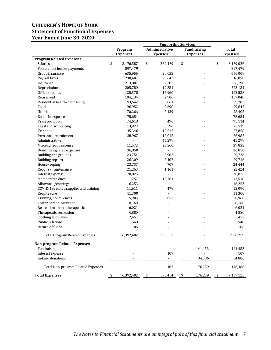# **CHILDREN'S HOME OF YORK Statement of Functional Expenses Year Ended June 30, 2020**

|                                        |     |                 | <b>Supporting Services</b> |                    |                 |
|----------------------------------------|-----|-----------------|----------------------------|--------------------|-----------------|
|                                        |     | Program         | Administrative             | <b>Fundraising</b> | <b>Total</b>    |
|                                        |     | <b>Expenses</b> | <b>Expenses</b>            | <b>Expenses</b>    | <b>Expenses</b> |
| <b>Program Related Expenses</b>        |     |                 |                            |                    |                 |
| Salaries                               | \$  | 3,176,587       | \$<br>282,439              | \$                 | \$<br>3,459,026 |
| Foster/host homes payments             |     | 897,479         |                            |                    | 897,479         |
| Group insurance                        |     | 635,956         | 20,053                     |                    | 656,009         |
| Payroll taxes                          |     | 290,407         | 25,643                     |                    | 316,050         |
| Insurance                              |     | 213,807         | 22,383                     |                    | 236,190         |
| Depreciation                           |     | 205,780         | 17,351                     |                    | 223,131         |
| Office supplies                        |     | 125,578         | 16,960                     |                    | 142,538         |
| Retirement                             |     | 104,134         | 2,906                      |                    | 107,040         |
| Residential health/counseling          |     | 93,642          | 6,061                      |                    | 99,703          |
| Food                                   |     | 96,952          | 2,690                      |                    | 99,642          |
| Utilities                              |     | 70,266          | 8,139                      |                    | 78,405          |
| Bad debt expense                       |     | 75,654          | $\overline{a}$             |                    | 75,654          |
| Transportation                         |     | 74,618          | 496                        |                    | 75,114          |
| Legal and accounting                   |     | 13,923          | 58,596                     |                    | 72,519          |
| Telephone                              |     | 45,346          | 12,512                     |                    | 57,858          |
| Personnel recruitment                  |     | 38,967          | 18,015                     |                    | 56,982          |
| Administrative                         |     |                 | 45,299                     |                    | 45,299          |
| Miscellaneous expense                  |     | 11,572          | 28,260                     |                    | 39,832          |
| Donor designated expenses              |     | 36,850          | L,                         |                    | 36,850          |
| Building and grounds                   |     | 23,754          | 5,982                      |                    | 29,736          |
| <b>Building repairs</b>                |     | 26,309          | 3,407                      |                    | 29,716          |
| Housekeeping                           |     | 23,737          | 707                        |                    | 24,444          |
| Repairs/maintenance                    |     | 21,263          | 1,161                      |                    | 22,424          |
| Interest expense                       |     | 20,825          |                            |                    | 20,825          |
| Membership dues                        |     | 1,757           | 15,761                     |                    | 17,518          |
| Allowance/earnings                     |     | 16,253          |                            |                    | 16,253          |
| COVID-19 related supplies and training |     | 11,611          | 479                        |                    | 12,090          |
| Respite care                           |     | 11,300          |                            |                    | 11,300          |
| Training/conferences                   |     | 5,903           | 3,057                      |                    | 8,960           |
| Foster parent insurance                |     | 8,160           | L,                         |                    | 8,160           |
| Recreation - non - therapeutic         |     | 6,021           |                            |                    | 6,021           |
| Therapeutic recreation                 |     | 4,880           |                            |                    | 4,880           |
| Clothing allowance                     |     | 2,457           |                            |                    | 2,457           |
| Public relations                       |     | 548             |                            |                    | 548             |
| Return of funds                        |     | 106             |                            |                    | 106             |
| <b>Total Program Related Expenses</b>  |     | 6,392,402       | 598,357                    |                    | 6,990,759       |
| <b>Non-program Related Expenses</b>    |     |                 |                            |                    |                 |
| Fundraising                            |     |                 |                            | 141,453            | 141,453         |
| Interest expense                       |     |                 | 107                        |                    | 107             |
| In-kind donations                      |     |                 | $\blacksquare$             | 34,806             | 34,806          |
| Total Non-program Related Expenses     |     |                 | $107\,$                    | 176,259            | 176,366         |
| <b>Total Expenses</b>                  | -\$ | 6,392,402       | \$<br>598,464              | \$<br>176,259      | \$<br>7,167,125 |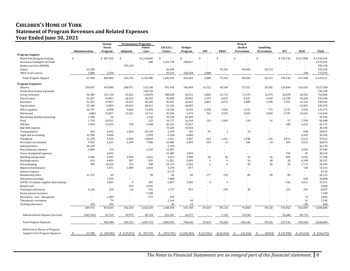# **CHILDREN'S HOME OF YORKStatement of Program Revenues and Related Expenses Year Ended June 30, 2021**

|                                        |                        | George                   | <b>Permanency Programs</b> |             |                |                |                          | Drug &             |                 |                          |                          |             |                  |
|----------------------------------------|------------------------|--------------------------|----------------------------|-------------|----------------|----------------|--------------------------|--------------------|-----------------|--------------------------|--------------------------|-------------|------------------|
|                                        |                        | <b>Street</b>            |                            | Foster      | A.N.G.E.L.     | <b>Bridges</b> |                          |                    | Alcohol         | Gambling                 |                          |             |                  |
|                                        | Administration         | Program                  | <b>Adoption</b>            | Care        | Center         | Program        | <b>SFP</b>               | <b>PREP</b>        | Prevention      | Prevention               | <b>IPT</b>               | <b>RISE</b> | Total            |
| <b>Program Support</b>                 |                        |                          |                            |             |                |                |                          |                    |                 |                          |                          |             |                  |
| Board fees/program funding             | \$                     | \$807,456                | $\mathbf{\hat{s}}$         | \$2,144,805 | \$             | \$<br>$\sim$   | \$                       | $\mathbf{\hat{s}}$ | \$              | \$                       | \$195,536                | \$617,868   | \$3,765,665      |
| Insurance/managed care fund            |                        |                          |                            | 680         | 1,216,734      | 358,627        |                          |                    |                 |                          |                          |             | 1,576,041        |
| Diakon services (SWAN)                 |                        |                          | 355,150                    |             |                |                |                          |                    |                 | $\sim$                   |                          |             | 355,150          |
| Grants                                 | 62,500                 | $\overline{\phantom{a}}$ |                            |             | 20,204         | $\sim$         | $\overline{\phantom{a}}$ | 75,342             | 84,904          | 50,313                   |                          | $\sim$      | 293,263          |
| Other local sources                    | 5,000                  | 2,350                    |                            |             | 59,316         | 104,638        | 2,088                    | $\sim$             |                 |                          |                          | 100         | 173,492          |
| <b>Total Program Support</b>           | 67,500                 | 809,806                  | 355,150                    | 2,145,485   | 1,296,254      | 463,265        | 2,088                    | 75,342             | 84,904          | 50,313                   | 195,536                  | 617,968     | 6,163,611        |
| <b>Program Expenses</b>                |                        |                          |                            |             |                |                |                          |                    |                 |                          |                          |             |                  |
| Salaries                               | 334,097                | 478,980                  | 268,971                    | 515,240     | 976,418        | 306,904        | 16,722                   | 49,549             | 57,921          | 39,282                   | 129,899                  | 353,455     | 3,527,438        |
| Foster/host homes payments             | $\mathbf{r}$           | $\overline{\phantom{a}}$ | $\sim$                     | 744,769     |                | $\sim$         | $\sim$                   | $\blacksquare$     | $\sim$          | $\sim$                   | $\sim$                   | $\sim$      | 744,769          |
| Group insurance                        | 50,489                 | 121,130                  | 67,264                     | 110,059     | 188,258        | 60,315         | 2,806                    | 12,712             | 17,374          | 11,079                   | 26,878                   | 94,502      | 762,866          |
| Payroll taxes                          | 31,017                 | 44,803                   | 24,253                     | 46,935      | 90,858         | 28,382         | 1,579                    | 4,667              | 5,031           | 3,420                    | 12,238                   | 32,266      | 325,449          |
| Insurance                              | 21,541                 | 29,097                   | 24,101                     | 54,202      | 56,491         | 22,641         | 2,883                    | 4,072              | 3,089           | 1,990                    | 7,961                    | 12,433      | 240,501          |
| Depreciation                           | 23,340                 | 13,829                   | 20,012                     | 20,012      | 52,324         | 66,895         | $\sim$                   | $\sim$             | $\sim$          | $\sim$                   | $\sim$                   | 12,881      | 209,293          |
| Office supplies                        | 56,757                 | 8,908                    | 9,064                      | 13,494      | 13,640         | 8,139          | 3,398                    | 7,824              | 3,292           | 772                      | 3,747                    | 2,938       | 131,973          |
| Retirement                             | (484)                  | 23,027                   | 12,321                     | 14,716      | 35,936         | 2,476          | 762                      | 2,529              | 2,969           | 2,004                    | 3,787                    | 14,601      | 114,644          |
| Residential health/counseling          | 1,998                  | 26                       | $\sim$                     | 1,102       | 33,530         | 55,900         | $\sim$                   | $\sim$             |                 | $\sim$                   | $\sim$                   | $\sim$      | 92,556           |
| Food                                   | 1,793                  | 20,521                   | $\sim$                     | 225         | 34,717         | 16,244         | 126                      | 1,981              | 124             | 61                       | 97                       | 7,599       | 83,488           |
| Utilities                              | 7,814                  | 15,016                   | 728                        | 6,308       | 20,131         | 27,027         | $\sim$                   | $\sim$             |                 | ٠                        | 468                      | 4,225       | 81,717           |
| Bad debt expense                       | $\sim$                 | $\sim$                   |                            | $\sim$      | 19,236         | 10,924         |                          |                    |                 |                          | ٠                        | $\sim$      | 30,160           |
|                                        | 502                    | 4,392                    |                            | 29,159      |                | 195            | 95                       | 3                  |                 |                          |                          | 698         | 38,857           |
| Transportation                         | 33,780                 |                          | 1,464                      | 2,943       | 2,339          | 6,000          |                          |                    | 10              | $\overline{\phantom{a}}$ | $\blacksquare$<br>$\sim$ |             |                  |
| Legal and accounting                   | 11,578                 | 4,608                    |                            |             | 6,228<br>2,951 | 3,487          | 232                      | 1,241              |                 | 226                      | 4,011                    | 2,943       | 56,502<br>57,013 |
| Telephone                              |                        | 4,529                    | 6,689                      | 14,859      |                |                |                          |                    | 1,598           |                          |                          | 5,612       |                  |
| Personnel recruitment                  | 9,592                  | 1,621                    | 2,299                      | 7,986       | 16,005         | 6,305          | 534                      | 13                 | 184             | 23                       | 299                      | 2,012       | 46,873           |
| Administrative                         | 26,678                 | ÷                        |                            |             | 5,500          |                |                          |                    |                 |                          |                          |             | 32,178           |
| Miscellaneous expense                  | 9,009                  | 179                      | $\sim$                     | 1,245       | 12,587         | $\sim$         |                          |                    |                 | $\sim$                   | $\sim$                   | 2,929       | 25,949           |
| Donor designated expenses              |                        | 4,455                    | $\sim$                     | $\sim$      | 23,483         | 1,839          |                          |                    |                 | $\sim$                   | 765                      | 92          | 30,634           |
| Building and grounds                   | 3,544                  | 4,445                    | 2,950                      | 2,861       | 4,013          | 3,980          | 96                       | 96                 | 96              | 96                       | 865                      | 4,242       | 27,284           |
| <b>Building repairs</b>                | 614                    | 6,839                    | 507                        | 835         | 11,821         | 5,099          | q                        | -9                 | 16              | 40                       | 28                       | 4,290       | 30,107           |
| Housekeeping                           | 509                    | 10,324                   | 132                        | 398         | 10,179         | 3,202          | 6                        | 6                  | 45              | 44                       | 36                       | 1,713       | 26,594           |
| Repairs/maintenance                    |                        | 5,471                    | 1,089                      | 2,424       | 4,294          | 877            |                          |                    |                 | ٠                        |                          | 158         | 14,313           |
| Interest expense                       |                        | $\sim$                   |                            |             | 8,123          | $\sim$         | $\sim$                   |                    |                 | $\sim$                   | ÷,                       | $\sim$      | 8,123            |
| Membership dues                        | 21,372                 | 40                       |                            | 99          | 40             | 89             | 177                      | 129                | 89              | 89                       | 89                       | $\sim$      | 22,213           |
| Allowance/earnings                     |                        | 7,550                    |                            |             | 7,898          |                | $\sim$                   |                    |                 | $\overline{\phantom{a}}$ | ÷.                       | 650         | 16,098           |
| COVID-19 related supplies and training | ÷                      | 2,845                    | $\overline{4}$             | 381         | 6,827          | 3.502          | $\overline{4}$           | $\overline{4}$     |                 | $\sim$                   | 432                      | 3,012       | 17,011           |
| Respite care                           |                        | $\sim$                   | 334                        | 3,666       | $\sim$         | $\sim$         |                          | $\overline{a}$     |                 |                          | $\sim$                   | $\sim$      | 4,000            |
| Training/conferences                   | 4,126                  | 228                      | 62                         | 291         | 1,737          | 875            |                          | 299                | 30              |                          | 252                      | 307         | 8,207            |
| Foster parent insurance                |                        | $\sim$                   |                            | 7,248       |                |                |                          |                    |                 |                          | $\overline{\phantom{a}}$ | $\sim$      | 7,248            |
| Recreation - non - therapeutic         |                        | 1,389                    |                            | 572         | 819            |                |                          |                    |                 |                          | $\sim$                   | 72          | 2,852            |
| Therapeutic recreation                 |                        | 79                       |                            | $\sim$      | 2,166          | 40             |                          |                    |                 |                          | $\sim$                   | 61          | 2,346            |
| Clothing allowance                     | 250                    | 333                      |                            |             | 45             | 32             |                          |                    |                 |                          |                          | 168         | 828              |
|                                        | 649,916                | 814,664                  | 442,244                    | 1,602,029   | 1,648,594      | 641,369        | 29,429                   | 85,134             | 91,868          | 59,126                   | 191,852                  | 563,859     | 6,820,084        |
| Administration Expense (Income)        | (649, 916)             | 85,724                   | 49,979                     | 85,724      | 221,361        | 64,277         |                          | 7,149              | 14,298          |                          | 35,680                   | 85,724      |                  |
| Total Program Expenses                 |                        | 900,388                  | 492,223                    | 1,687,753   | 1,869,955      | 705,646        | 29,429                   | 92,283             | 106,166         | 59,126                   | 227,532                  | 649,583     | 6,820,084        |
| (Deficiency) Excess of Program         |                        |                          |                            |             |                |                |                          |                    |                 |                          |                          |             |                  |
| Support Over Program Expenses          | 67,500<br>$\mathsf{s}$ | $$^{(90,582)}$           | \$(137,073)                | \$457,732   | \$ (573,701)   | \$(242, 381)   | \$(27,341)               | \$(16, 941)        | (21, 262)<br>\$ | (8, 813)<br>- \$         | \$ (31,996)              | \$ (31,615) | \$ (656, 473)    |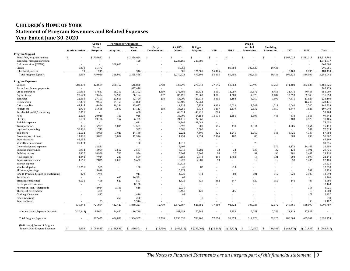# **CHILDREN'S HOME OF YORKStatement of Program Revenues and Related Expenses Year Ended June 30, 2020**

|                                                                 | George<br><b>Permanency Programs</b> |               |              |                |                  |                           |                              | Drug &                   |                    |                   |                    |             |                          |              |
|-----------------------------------------------------------------|--------------------------------------|---------------|--------------|----------------|------------------|---------------------------|------------------------------|--------------------------|--------------------|-------------------|--------------------|-------------|--------------------------|--------------|
|                                                                 |                                      | <b>Street</b> |              | Foster         | Early            | A.N.G.E.L.                | <b>Bridges</b>               |                          |                    | Alcohol           | Gambling           |             |                          |              |
|                                                                 | Administration                       | Program       | Adoption     | Care           | Development      | Center                    | Program                      | <b>SFP</b>               | <b>PREP</b>        | Prevention        | Prevention         | <b>IPT</b>  | <b>RISE</b>              | Total        |
| Program Support                                                 |                                      |               |              |                |                  |                           |                              |                          |                    |                   |                    |             |                          |              |
| Board fees/program funding                                      | \$                                   | \$706,652     | \$           | \$2,384,994    | \$               | $\ddot{\bm{x}}$<br>$\sim$ | $\mathbf{\hat{s}}$<br>$\sim$ | \$                       | $\mathbf{\hat{s}}$ | \$                | $\mathbf{\hat{s}}$ | \$197,025   | \$531,113                | \$3,819,784  |
| Insurance/managed care fund                                     |                                      |               |              | 128            |                  | 1,223,160                 | 349,589                      |                          |                    |                   |                    |             |                          | 1,572,877    |
| Diakon services (SWAN)                                          |                                      |               | 368,000      |                |                  |                           |                              |                          |                    |                   |                    |             |                          | 368,000      |
| Grants                                                          | 5,000                                | 11,173        |              |                |                  | 47,063                    |                              |                          | 80,650             | 102,629           | 49,436             |             |                          | 295,951      |
| Other local sources                                             | 59                                   | 1,215         |              | 346            |                  | 500                       | 121,609                      | 55,405                   |                    |                   |                    | 2,400       | 2.896                    | 184,430      |
| Total Program Support                                           | 5,059                                | 719,040       | 368,000      | 2,385,468      |                  | 1,270,723                 | 471,198                      | 55,405                   | 80,650             | 102,629           | 49,436             | 199,425     | 534,009                  | 6,241,042    |
| <b>Program Expenses</b>                                         |                                      |               |              |                |                  |                           |                              |                          |                    |                   |                    |             |                          |              |
| Salaries                                                        | 282,439                              | 423,589       | 268,752      | 546,830        | 9,718            | 933,298                   | 278,713                      | 37,645                   | 50,763             | 59,498            | 33,265             | 171,480     | 363,036                  | 3,459,026    |
| Foster/host homes payments                                      | $\sim$                               | $\sim$        | $\sim$       | 897,479        |                  | $\sim$                    | $\sim$                       | $\overline{\phantom{a}}$ | $\sim$             | ÷.                | $\sim$             | $\sim$      | $\sim$                   | 897,479      |
| Group insurance                                                 | 20,053                               | 97,837        | 55,359       | 111,302        | 1,369            | 172,488                   | 46,531                       | 4,501                    | 11,059             | 15,872            | 8,458              | 31,716      | 79,464                   | 656,009      |
| Payroll taxes                                                   | 25,643                               | 39,404        | 24,350       | 50,194         | 887              | 85,728                    | 25,905                       | 3,561                    | 4,685              | 4,873             | 2,782              | 15,690      | 32,348                   | 316,050      |
| Insurance                                                       | 22,383                               | 27,101        | 23,858       | 52,799         | 298              | 56,000                    | 21,818                       | 3,603                    | 4,188              | 3,050             | 1,890              | 7,675       | 11,527                   | 236,190      |
| Depreciation                                                    | 17,351                               | 9,557         | 24,459       | 24,850         | $\sim$           | 53,405                    | 77,264                       | $\sim$                   | $\sim$             | ÷                 | $\sim$             | $\sim$      | 16,245                   | 223,131      |
| Office supplies                                                 | 47,545                               | 6,856         | 10,381       | 15,057         |                  | 11,838                    | 7,353                        | 9,433                    | 10,034             | 13,542            | 1,719              | 6,040       | 2,740                    | 142,538      |
| Retirement                                                      | 2.906                                | 15,686        | 7,500        | 17.113         | 458              | 36,255                    | 6,733                        | 1,107                    | 2,419              | 2,832             | 1,557              | 4,649       | 7,825                    | 107,040      |
| Residential health/counseling                                   | 6,061                                | $\sim$        | ×.           | 608            |                  | 49,611                    | 43,218                       | 205                      | $\sim$             | $\sim$            | $\sim$             | $\sim$      | $\sim$                   | 99,703       |
| Food                                                            | 2,690                                | 20,010        | 167          | 946            |                  | 35,709                    | 14,153                       | 13,574                   | 2,456              | 1,608             | 445                | 318         | 7,566                    | 99,642       |
| Utilities                                                       | 8,139                                | 10,406        | 757          | 6,435          |                  | 21,145                    | 27,868                       | ٠                        | ٠                  | ٠                 |                    | 483         | 3,172                    | 78,405       |
| Bad debt expense                                                | $\sim$                               | $\sim$        | $\sim$       | 1,621          |                  | 24,949                    | 49,084                       | $\sim$                   | $\sim$             | $\sim$            |                    | $\sim$      | $\sim$                   | 75,654       |
| Transportation                                                  | 496                                  | 5,954         | 5,804        | 54,531         |                  | 2,692                     | 200                          | 916                      | 418                | 1,344             |                    | 1,705       | 1,054                    | 75,114       |
| Legal and accounting                                            | 58,596                               | 1,749         | $\sim$       | 587            |                  | 5,500                     | 5,500                        | ٠                        | $\sim$             | ٠                 |                    |             | 587                      | 72,519       |
| Telephone                                                       | 12,512                               | 4,900         | 7,921        | 14,160         |                  | 2,224                     | 4,496                        | 326                      | 1,241              | 1,069             | 546                | 3,726       | 4,737                    | 57,858       |
| Personnel recruitment                                           | 17,896                               | 3,801         | 3,862        | 12,976         |                  | 11,251                    | 2,854                        | 2,194                    | 187                | 80                |                    | 983         | 898                      | 56,982       |
| Administrative                                                  | 45,295                               | $\sim$        | $\sim$       | $\overline{4}$ |                  | $\sim$                    |                              | ٠                        | $\sim$             | ٠                 |                    | $\sim$      | $\overline{\phantom{a}}$ | 45,299       |
| Miscellaneous expense                                           | 29,333                               | $\sim$        | $\sim$       | 100            |                  | 1,013                     | $\sim$                       | $\sim$                   | ×,                 | 70                | $\sim$             | $\sim$      | $\sim$                   | 30,516       |
| Donor designated expenses                                       | $\sim$                               | 12,531        | $\sim$       |                |                  | 5,407                     |                              | ×                        | $\sim$             | $\sim$            | 570                | 4,174       | 14,168                   | 36,850       |
| Building and grounds                                            | 5,982                                | 4,059         | 3,567        | 3,567          |                  | 3,916                     | 6,282                        | 32                       | 32                 | 138               | 32                 | 138         | 1,991                    | 29,736       |
| <b>Building repairs</b>                                         | 3.407                                | 10,920        | 700          | 934            |                  | 5.867                     | 3.865                        | 28                       | 37                 | 94                | 96                 | 281         | 3,487                    | 29,716       |
|                                                                 | 1,044                                | 7,944         | 249          | 509            |                  | 8,163                     | 2,373                        | 154                      | 1,760              | 16                | 331                | 203         | 1,698                    | 24,444       |
| Housekeeping                                                    | 1,161                                | 7,875         | 2,019        | 3,652          |                  | 3,227                     | 2,989                        | 19                       | $\sim$             | 19                | 19                 | 38          | 1,406                    | 22,424       |
| Repairs/maintenance                                             |                                      | ×             |              |                |                  | 20,825                    |                              |                          |                    |                   |                    |             | $\sim$                   | 20,825       |
| Interest expense                                                |                                      |               |              | 160            |                  | 40                        | 82                           |                          | 910                |                   |                    |             |                          | 17,518       |
| Membership dues                                                 | 15,761                               | 565           | ٠            |                |                  |                           |                              |                          |                    |                   |                    |             | $\sim$                   |              |
| Allowance/earnings                                              | $\sim$                               | 5,418         |              |                |                  | 10,273                    |                              |                          | ٠                  | ÷.                | ä,                 |             | 562                      | 16,253       |
| COVID-19 related supplies and training                          | 479                                  | 1,975         |              | 911            |                  | 4,729                     | 374                          | ×                        | 80                 | 101               | 112                | 220         | 3,109                    | 12,090       |
| Respite care                                                    | $\sim$                               | $\sim$        | 680          | 10,551         |                  | 69                        | $\sim$                       | $\sim$                   | $\sim$             | $\sim$            | $\sim$             | $\sim$      | $\sim$                   | 11,300       |
| Training/conferences                                            | 3.176                                | 408           | 620          | 597            |                  | 1,428                     | 529                          | 352                      | 447                | 820               | 350                | 146         | 87                       | 8,960        |
| Foster parent insurance                                         |                                      |               | ×.           | 8,160          |                  | $\sim$                    | $\sim$                       | ×                        | $\sim$             |                   |                    |             |                          | 8,160        |
| Recreation - non - therapeutic                                  |                                      | 2,044         | 1,166        | 618            |                  | 2,039                     |                              |                          |                    |                   |                    |             | 154                      | 6,021        |
| Therapeutic recreation                                          |                                      | 385           | 6            | $\sim$         |                  | 3,450                     | 120                          |                          | 906                |                   |                    |             | 13                       | 4,880        |
| Clothing allowance                                              |                                      | 827           | ×.           | 1,410          |                  | 48                        |                              |                          |                    |                   |                    |             | 172                      | 2,457        |
| Public relations                                                |                                      | $\sim$        | 250          | 250            |                  |                           | 48                           |                          |                    |                   |                    |             | $\sim$                   | 548          |
| Return of funds                                                 |                                      | 53            |              | 9.316          |                  |                           |                              |                          |                    |                   |                    |             | 53                       | 9,422        |
|                                                                 | 630,348                              | 721,854       | 442,427      | 1,848,227      | 12,730           | 1,572,587                 | 628,352                      | 77,650                   | 91,622             | 105,026           | 52,172             | 249,665     | 558,099                  | 6,990,759    |
| Administration Expense (Income)                                 | (630, 348)                           | 85,601        | 54,462       | 116,740        |                  | 163,451                   | 77,848                       |                          | 7,753              | 7,753             | 7,753              | 31,139      | 77,848                   |              |
| <b>Total Program Expenses</b>                                   |                                      | 807,455       | 496,889      | 1,964,967      | 12,730           | 1,736,038                 | 706,200                      | 77,650                   | 99,375             | 112,779           | 59.925             | 280,804     | 635,947                  | 6,990,759    |
| (Deficiency) Excess of Program<br>Support Over Program Expenses | 5.059<br>-\$                         | \$ (88, 415)  | \$ (128,889) | 420.501<br>\$  | (12,730)<br>- \$ | \$ (465,315)              | \$(235,002)                  | \$(22, 245)              | \$(18, 725)        | (10, 150)<br>- \$ | (10.489)<br>- \$   | \$ (81,379) | \$f101.938]              | \$(749, 717) |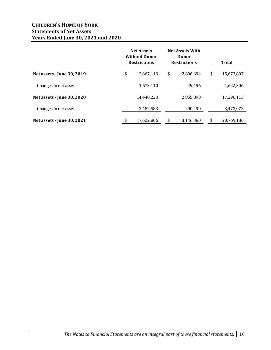# **CHILDREN'S HOME OF YORK Statements of Net Assets Years Ended June 30, 2021 and 2020**

|                            |    | <b>Net Assets</b><br><b>Without Donor</b><br><b>Restrictions</b> | <b>Net Assets With</b><br>Donor<br><b>Restrictions</b> | <b>Total</b>     |  |  |
|----------------------------|----|------------------------------------------------------------------|--------------------------------------------------------|------------------|--|--|
| Net assets - June 30, 2019 | \$ | 12,867,113                                                       | \$<br>2,806,694                                        | \$<br>15,673,807 |  |  |
| Changes in net assets      |    | 1,573,110                                                        | 49,196                                                 | 1,622,306        |  |  |
| Net assets - June 30, 2020 |    | 14,440,223                                                       | 2,855,890                                              | 17,296,113       |  |  |
| Changes in net assets      |    | 3,182,583                                                        | 290,490                                                | 3,473,073        |  |  |
| Net assets - June 30, 2021 | \$ | 17,622,806                                                       | \$<br>3.146.380                                        | \$<br>20.769.186 |  |  |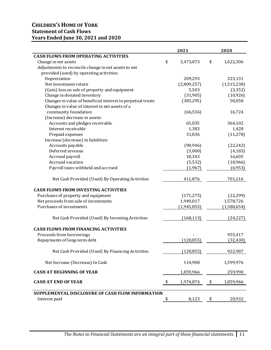# **CHILDREN'S HOME OF YORK Statement of Cash Flows Years Ended June 30, 2021 and 2020**

|                                                             | 2021            | 2020            |  |  |
|-------------------------------------------------------------|-----------------|-----------------|--|--|
| <b>CASH FLOWS FROM OPERATING ACTIVITIES</b>                 |                 |                 |  |  |
| Change in net assets                                        | \$<br>3,473,073 | \$<br>1,622,306 |  |  |
| Adjustments to reconcile change in net assets to net        |                 |                 |  |  |
| provided (used) by operating activities:                    |                 |                 |  |  |
| Depreciation                                                | 209,293         | 223,131         |  |  |
| Net investment return                                       | (2,809,257)     | (1,515,238)     |  |  |
| (Gain) loss on sale of property and equipment               | 5,503           | (3, 352)        |  |  |
| Change in donated inventory                                 | (31, 905)       | (10, 926)       |  |  |
| Changes in value of beneficial interest in perpetual trusts | (383, 295)      | 50,058          |  |  |
| Changes in value of interest in net assets of a             |                 |                 |  |  |
| community foundation                                        | (66, 556)       | 16,724          |  |  |
| (Increase) decrease in assets:                              |                 |                 |  |  |
| Accounts and pledges receivable                             | 65,035          | 364,102         |  |  |
| Interest receivable                                         | 1,383           | 1,428           |  |  |
| Prepaid expenses                                            | 31,836          | (11, 278)       |  |  |
| Increase (decrease) in liabilities:                         |                 |                 |  |  |
| Accounts payable                                            | (90, 946)       | (22, 242)       |  |  |
| Deferred revenue                                            | (3,000)         | (4, 183)        |  |  |
| Accrued payroll                                             | 18,343          | 16,605          |  |  |
| Accrued vacation                                            | (5, 532)        | (18,966)        |  |  |
| Payroll taxes withheld and accrued                          | (1,967)         | (6,953)         |  |  |
| Net Cash Provided (Used) By Operating Activities            | 411,876         | 701,216         |  |  |
| <b>CASH FLOWS FROM INVESTING ACTIVITIES</b>                 |                 |                 |  |  |
| Purchases of property and equipment                         | (171, 275)      | (22, 299)       |  |  |
| Net proceeds from sale of investments                       | 1,949,017       | 1,578,726       |  |  |
| Purchases of investments                                    | (1, 945, 855)   | (1,580,654)     |  |  |
| Net Cash Provided (Used) By Investing Activities            | (168, 113)      | (24, 227)       |  |  |
| <b>CASH FLOWS FROM FINANCING ACTIVITIES</b>                 |                 |                 |  |  |
| Proceeds from borrowings                                    |                 | 955,417         |  |  |
| Repayments of long-term debt                                | (128, 855)      | (32, 430)       |  |  |
| Net Cash Provided (Used) By Financing Activities            | (128, 855)      | 922,987         |  |  |
| Net Increase (Decrease) In Cash                             | 114,908         | 1,599,976       |  |  |
| <b>CASH AT BEGINNING OF YEAR</b>                            | 1,859,966       | 259,990         |  |  |
| <b>CASH AT END OF YEAR</b>                                  | \$<br>1,974,874 | \$<br>1,859,966 |  |  |
| SUPPLEMENTAL DISCLOSURE OF CASH FLOW INFORMATION            |                 |                 |  |  |
| Interest paid                                               | \$<br>8,123     | \$<br>20,932    |  |  |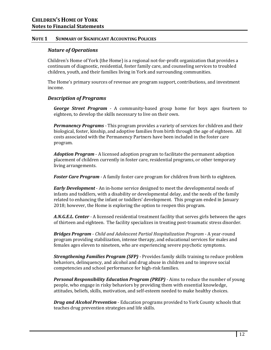#### **NOTE 1 SUMMARY OF SIGNIFICANT ACCOUNTING POLICIES**

#### *Nature of Operations*

Children's Home of York (the Home) is a regional not-for-profit organization that provides a continuum of diagnostic, residential, foster family care, and counseling services to troubled children, youth, and their families living in York and surrounding communities.

The Home's primary sources of revenue are program support, contributions, and investment income.

#### *Description of Programs*

*George Street Program ‐*  A community-based group home for boys ages fourteen to eighteen, to develop the skills necessary to live on their own.

*Permanency Programs* - This program provides a variety of services for children and their biological, foster, kinship, and adoptive families from birth through the age of eighteen. All costs associated with the Permanency Partners have been included in the foster care program.

*Adoption Program* - A licensed adoption program to facilitate the permanent adoption placement of children currently in foster care, residential programs, or other temporary living arrangements.

*Foster Care Program ‐* A family foster care program for children from birth to eighteen.

*Early Development* - An in-home service designed to meet the developmental needs of infants and toddlers, with a disability or developmental delay, and the needs of the family related to enhancing the infant or toddlers' development. This program ended in January 2018; however, the Home is exploring the option to reopen this program.

*A.N.G.E.L. Center ‐* A licensed residential treatment facility that serves girls between the ages of thirteen and eighteen. The facility specializes in treating post-traumatic stress disorder.

*Bridges Program* - *Child and Adolescent Partial Hospitalization Program* - A year-round program providing stabilization, intense therapy, and educational services for males and females ages eleven to nineteen, who are experiencing severe psychotic symptoms.

*Strengthening Families Program (SFP)* - Provides family skills training to reduce problem behaviors, delinquency, and alcohol and drug abuse in children and to improve social competencies and school performance for high-risk families.

*Personal Responsibility Education Program (PREP)* - Aims to reduce the number of young people, who engage in risky behaviors by providing them with essential knowledge, attitudes, beliefs, skills, motivation, and self-esteem needed to make healthy choices.

*Drug and Alcohol Prevention* - Education programs provided to York County schools that teaches drug prevention strategies and life skills.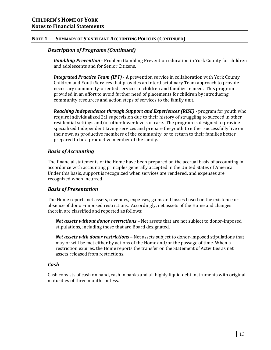#### *Description of Programs (Continued)*

*Gambling Prevention* - Problem Gambling Prevention education in York County for children and adolescents and for Senior Citizens.

*Integrated Practice Team (IPT)* - A prevention service in collaboration with York County Children and Youth Services that provides an Interdisciplinary Team approach to provide necessary community-oriented services to children and families in need. This program is provided in an effort to avoid further need of placements for children by introducing community resources and action steps of services to the family unit.

*Reaching Independence through Support and Experiences (RISE) ‐* program for youth who require individualized 2:1 supervision due to their history of struggling to succeed in other residential settings and/or other lower levels of care. The program is designed to provide specialized Independent Living services and prepare the youth to either successfully live on their own as productive members of the community, or to return to their families better prepared to be a productive member of the family.

#### *Basis of Accounting*

The financial statements of the Home have been prepared on the accrual basis of accounting in accordance with accounting principles generally accepted in the United States of America. Under this basis, support is recognized when services are rendered, and expenses are recognized when incurred.

#### **Basis** of **Presentation**

The Home reports net assets, revenues, expenses, gains and losses based on the existence or absence of donor-imposed restrictions. Accordingly, net assets of the Home and changes therein are classified and reported as follows:

*Net assets without donor restrictions* **–** Net assets that are not subject to donor-imposed stipulations, including those that are Board designated.

*Net assets with donor restrictions* **–** Net assets subject to donor-imposed stipulations that may or will be met either by actions of the Home and/or the passage of time. When a restriction expires, the Home reports the transfer on the Statement of Activities as net assets released from restrictions.

#### *Cash*

Cash consists of cash on hand, cash in banks and all highly liquid debt instruments with original maturities of three months or less.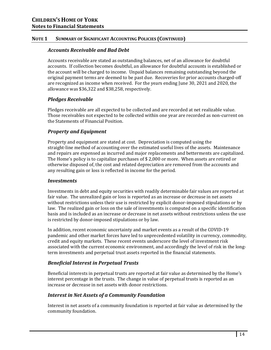#### *Accounts Receivable and Bad Debt*

Accounts receivable are stated as outstanding balances, net of an allowance for doubtful accounts. If collection becomes doubtful, an allowance for doubtful accounts is established or the account will be charged to income. Unpaid balances remaining outstanding beyond the original payment terms are deemed to be past due. Recoveries for prior accounts charged-off are recognized as income when received. For the years ending June 30, 2021 and 2020, the allowance was \$36,322 and \$38,258, respectively.

#### *Pledges Receivable*

Pledges receivable are all expected to be collected and are recorded at net realizable value. Those receivables not expected to be collected within one year are recorded as non-current on the Statements of Financial Position.

#### *Property and Equipment*

Property and equipment are stated at cost. Depreciation is computed using the straight-line method of accounting over the estimated useful lives of the assets. Maintenance and repairs are expensed as incurred and major replacements and betterments are capitalized. The Home's policy is to capitalize purchases of \$ 2,000 or more. When assets are retired or otherwise disposed of, the cost and related depreciation are removed from the accounts and any resulting gain or loss is reflected in income for the period.

#### *Investments*

Investments in debt and equity securities with readily determinable fair values are reported at fair value. The unrealized gain or loss is reported as an increase or decrease in net assets without restrictions unless their use is restricted by explicit donor-imposed stipulations or by law. The realized gain or loss on the sale of investments is computed on a specific identification basis and is included as an increase or decrease in net assets without restrictions unless the use is restricted by donor-imposed stipulations or by law.

In addition, recent economic uncertainty and market events as a result of the COVID-19 pandemic and other market forces have led to unprecedented volatility in currency, commodity, credit and equity markets. These recent events underscore the level of investment risk associated with the current economic environment, and accordingly the level of risk in the longterm investments and perpetual trust assets reported in the financial statements.

#### *Beneficial Interest in Perpetual Trusts*

Beneficial interests in perpetual trusts are reported at fair value as determined by the Home's interest percentage in the trusts. The change in value of perpetual trusts is reported as an increase or decrease in net assets with donor restrictions.

#### *Interest in Net Assets of a Community Foundation*

Interest in net assets of a community foundation is reported at fair value as determined by the community foundation.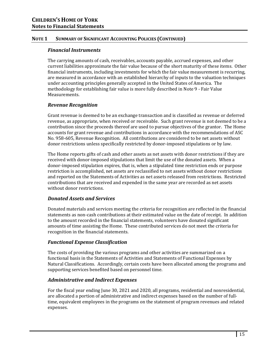#### *Financial Instruments*

The carrying amounts of cash, receivables, accounts payable, accrued expenses, and other current liabilities approximate the fair value because of the short maturity of these items. Other financial instruments, including investments for which the fair value measurement is recurring, are measured in accordance with an established hierarchy of inputs to the valuation techniques under accounting principles generally accepted in the United States of America. The methodology for establishing fair value is more fully described in Note 9 - Fair Value Measurements.

#### *Revenue Recognition*

Grant revenue is deemed to be an exchange transaction and is classified as revenue or deferred revenue, as appropriate, when received or receivable. Such grant revenue is not deemed to be a contribution since the proceeds thereof are used to pursue objectives of the grantor. The Home accounts for grant revenue and contributions in accordance with the recommendations of ASC No. 958-605, Revenue Recognition. All contributions are considered to be net assets without donor restrictions unless specifically restricted by donor-imposed stipulations or by law.

The Home reports gifts of cash and other assets as net assets with donor restrictions if they are received with donor-imposed stipulations that limit the use of the donated assets. When a donor-imposed stipulation expires, that is, when a stipulated time restriction ends or purpose restriction is accomplished, net assets are reclassified to net assets without donor restrictions and reported on the Statements of Activities as net assets released from restrictions. Restricted contributions that are received and expended in the same year are recorded as net assets without donor restrictions.

#### *Donated Assets and Services*

Donated materials and services meeting the criteria for recognition are reflected in the financial statements as non-cash contributions at their estimated value on the date of receipt. In addition to the amount recorded in the financial statements, volunteers have donated significant amounts of time assisting the Home. These contributed services do not meet the criteria for recognition in the financial statements.

#### *Functional Expense Classification*

The costs of providing the various programs and other activities are summarized on a functional basis in the Statements of Activities and Statements of Functional Expenses by Natural Classifications. Accordingly, certain costs have been allocated among the programs and supporting services benefited based on personnel time.

#### *Administrative and Indirect Expenses*

For the fiscal year ending June 30, 2021 and 2020, all programs, residential and nonresidential, are allocated a portion of administrative and indirect expenses based on the number of fulltime, equivalent employees in the programs on the statement of program revenues and related expenses.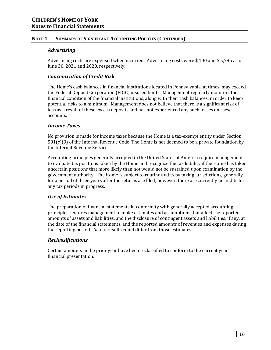#### *Advertising*

Advertising costs are expensed when incurred. Advertising costs were \$ 100 and \$ 5,795 as of June 30, 2021 and 2020, respectively.

#### *Concentration of Credit Risk*

The Home's cash balances in financial institutions located in Pennsylvania, at times, may exceed the Federal Deposit Corporation (FDIC) insured limits. Management regularly monitors the financial condition of the financial institutions, along with their cash balances, in order to keep potential risks to a minimum. Management does not believe that there is a significant risk of loss as a result of these excess deposits and has not experienced any such losses on these accounts.

#### *Income Taxes*

No provision is made for income taxes because the Home is a tax-exempt entity under Section  $501(c)(3)$  of the Internal Revenue Code. The Home is not deemed to be a private foundation by the Internal Revenue Service.

Accounting principles generally accepted in the United States of America require management to evaluate tax positions taken by the Home and recognize the tax liability if the Home has taken uncertain positions that more likely than not would not be sustained upon examination by the government authority. The Home is subject to routine audits by taxing jurisdictions, generally for a period of three years after the returns are filed; however, there are currently no audits for any tax periods in progress.

#### *Use of Estimates*

The preparation of financial statements in conformity with generally accepted accounting principles requires management to make estimates and assumptions that affect the reported amounts of assets and liabilities, and the disclosure of contingent assets and liabilities, if any, at the date of the financial statements, and the reported amounts of revenues and expenses during the reporting period. Actual results could differ from those estimates.

#### *Reclassifications*

Certain amounts in the prior year have been reclassified to conform to the current year financial presentation.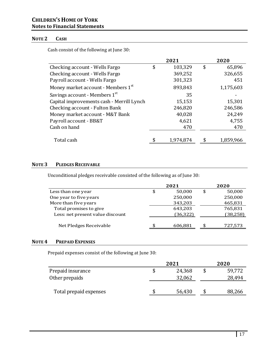#### **NOTE 2 CASH**

Cash consist of the following at June 30:

|                                                | 2021          | 2020         |
|------------------------------------------------|---------------|--------------|
| Checking account - Wells Fargo                 | \$<br>103,329 | \$<br>65,896 |
| Checking account - Wells Fargo                 | 369,252       | 326,655      |
| Payroll account - Wells Fargo                  | 301,323       | 451          |
| Money market account - Members 1 <sup>st</sup> | 893,843       | 1,175,603    |
| Savings account - Members 1 <sup>st</sup>      | 35            |              |
| Capital improvements cash - Merrill Lynch      | 15,153        | 15,301       |
| Checking account - Fulton Bank                 | 246,820       | 246,586      |
| Money market account - M&T Bank                | 40,028        | 24,249       |
| Payroll account - BB&T                         | 4,621         | 4,755        |
| Cash on hand                                   | 470           | 470          |
|                                                |               |              |
| Total cash                                     | 1,974,874     | 1,859,966    |

#### **NOTE 3 PLEDGES RECEIVABLE**

Unconditional pledges receivable consisted of the following as of June 30:

|                                  | 2021         | 2020 |           |  |  |
|----------------------------------|--------------|------|-----------|--|--|
| Less than one year               | \$<br>50,000 | \$   | 50,000    |  |  |
| One year to five years           | 250,000      |      | 250,000   |  |  |
| More than five years             | 343,203      |      | 465,831   |  |  |
| Total promises to give           | 643,203      |      | 765,831   |  |  |
| Less: net present value discount | (36, 322)    |      | (38, 258) |  |  |
| Net Pledges Receivable           | 606,881      |      | 727,573   |  |  |

#### **NOTE 4 PREPAID EXPENSES**

Prepaid expenses consist of the following at June 30:

|                        | 2021   | 2020   |
|------------------------|--------|--------|
| Prepaid insurance      | 24,368 | 59,772 |
| Other prepaids         | 32,062 | 28,494 |
|                        |        |        |
| Total prepaid expenses | 56,430 | 88,266 |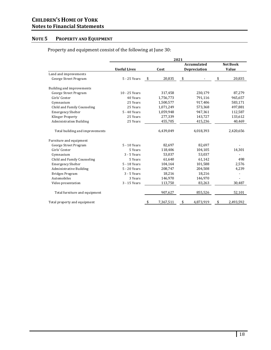# **NOTE 5 PROPERTY AND EQUIPMENT**

|                                 | 2021                 |           |                     |                 |  |  |  |  |  |  |  |  |
|---------------------------------|----------------------|-----------|---------------------|-----------------|--|--|--|--|--|--|--|--|
|                                 |                      |           | <b>Accumulated</b>  | Net Book        |  |  |  |  |  |  |  |  |
|                                 | <b>Useful Lives</b>  | Cost      | <b>Depreciation</b> | Value           |  |  |  |  |  |  |  |  |
| Land and improvements           |                      |           |                     |                 |  |  |  |  |  |  |  |  |
| George Street Program           | - \$<br>5 - 25 Years | 20,835    | \$                  | \$<br>20,835    |  |  |  |  |  |  |  |  |
| Building and improvements       |                      |           |                     |                 |  |  |  |  |  |  |  |  |
| George Street Program           | 10 - 25 Years        | 317.458   | 230.179             | 87,279          |  |  |  |  |  |  |  |  |
| Girls' Center                   | 40 Years             | 1,756,773 | 791,116             | 965,657         |  |  |  |  |  |  |  |  |
| Gymnasium                       | 25 Years             | 1,500,577 | 917,406             | 583,171         |  |  |  |  |  |  |  |  |
| Child and Family Counseling     | 25 Years             | 1,071,249 | 573,368             | 497,881         |  |  |  |  |  |  |  |  |
| <b>Emergency Shelter</b>        | 5 - 40 Years         | 1,059,948 | 947,361             | 112,587         |  |  |  |  |  |  |  |  |
| Klinger Property                | 25 Years             | 277,339   | 143,727             | 133,612         |  |  |  |  |  |  |  |  |
| <b>Administration Building</b>  | 25 Years             | 455,705   | 415,236             | 40,469          |  |  |  |  |  |  |  |  |
| Total building and improvements |                      | 6,439,049 | 4,018,393           | 2,420,656       |  |  |  |  |  |  |  |  |
| Furniture and equipment         |                      |           |                     |                 |  |  |  |  |  |  |  |  |
| George Street Program           | 5 - 10 Years         | 82,697    | 82,697              |                 |  |  |  |  |  |  |  |  |
| Girls' Center                   | 5 Years              | 118,406   | 104,105             | 14,301          |  |  |  |  |  |  |  |  |
| Gymnasium                       | $3 - 5$ Years        | 53,037    | 53,037              |                 |  |  |  |  |  |  |  |  |
| Child and Family Counseling     | 5 Years              | 61,640    | 61.142              | 498             |  |  |  |  |  |  |  |  |
| <b>Emergency Shelter</b>        | 5 - 18 Years         | 104,164   | 101,588             | 2,576           |  |  |  |  |  |  |  |  |
| <b>Administrative Building</b>  | 5 - 20 Years         | 208,747   | 204,508             | 4,239           |  |  |  |  |  |  |  |  |
| <b>Bridges Program</b>          | $3 - 5$ Years        | 18,216    | 18,216              |                 |  |  |  |  |  |  |  |  |
| Automobiles                     | 3 Years              | 146,970   | 146,970             |                 |  |  |  |  |  |  |  |  |
| Video presentation              | 3 - 15 Years         | 113,750   | 83,263              | 30,487          |  |  |  |  |  |  |  |  |
| Total furniture and equipment   |                      | 907,627   | 855,526             | 52,101          |  |  |  |  |  |  |  |  |
| Total property and equipment    | \$                   | 7,367,511 | 4,873,919<br>\$     | 2,493,592<br>\$ |  |  |  |  |  |  |  |  |

Property and equipment consist of the following at June 30: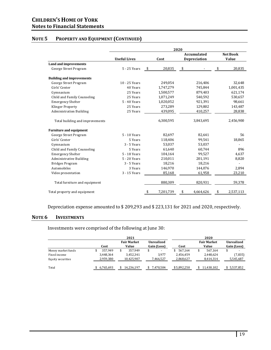#### **NOTE 5 PROPERTY AND EQUIPMENT (CONTINUED)**

|                                  | 2020                |      |           |                                           |           |                   |           |  |  |  |  |
|----------------------------------|---------------------|------|-----------|-------------------------------------------|-----------|-------------------|-----------|--|--|--|--|
|                                  | <b>Useful Lives</b> | Cost |           | <b>Accumulated</b><br><b>Depreciation</b> |           | Net Book<br>Value |           |  |  |  |  |
| <b>Land and improvements</b>     |                     |      |           |                                           |           |                   |           |  |  |  |  |
| George Street Program            | 5 - 25 Years        | \$   | 20,835    | -\$                                       |           | \$                | 20,835    |  |  |  |  |
| <b>Building and improvements</b> |                     |      |           |                                           |           |                   |           |  |  |  |  |
| George Street Program            | 10 - 25 Years       |      | 249,054   |                                           | 216,406   |                   | 32,648    |  |  |  |  |
| Girls' Center                    | 40 Years            |      | 1,747,279 |                                           | 745,844   |                   | 1,001,435 |  |  |  |  |
| Gymnasium                        | 25 Years            |      | 1,500,577 |                                           | 879,403   |                   | 621,174   |  |  |  |  |
| Child and Family Counseling      | 25 Years            |      | 1,071,249 |                                           | 540,592   |                   | 530,657   |  |  |  |  |
| <b>Emergency Shelter</b>         | 5 - 40 Years        |      | 1,020,052 |                                           | 921,391   |                   | 98,661    |  |  |  |  |
| Klinger Property                 | 25 Years            |      | 273,289   |                                           | 129,802   |                   | 143,487   |  |  |  |  |
| <b>Administration Building</b>   | 25 Years            |      | 439,095   |                                           | 410,257   |                   | 28,838    |  |  |  |  |
| Total building and improvements  |                     |      | 6,300,595 |                                           | 3,843,695 |                   | 2,456,900 |  |  |  |  |
| <b>Furniture and equipment</b>   |                     |      |           |                                           |           |                   |           |  |  |  |  |
| George Street Program            | 5 - 10 Years        |      | 82,697    |                                           | 82,641    |                   | 56        |  |  |  |  |
| Girls' Center                    | 5 Years             |      | 118,406   |                                           | 99.541    |                   | 18,865    |  |  |  |  |
| Gymnasium                        | $3 - 5$ Years       |      | 53,037    |                                           | 53,037    |                   |           |  |  |  |  |
| Child and Family Counseling      | 5 Years             |      | 61,640    |                                           | 60,744    |                   | 896       |  |  |  |  |
| <b>Emergency Shelter</b>         | 5 - 18 Years        |      | 104,164   |                                           | 99,527    |                   | 4,637     |  |  |  |  |
| <b>Administrative Building</b>   | 5 - 20 Years        |      | 210,011   |                                           | 201,191   |                   | 8,820     |  |  |  |  |
| <b>Bridges Program</b>           | $3 - 5$ Years       |      | 18,216    |                                           | 18,216    |                   |           |  |  |  |  |
| Automobiles                      | 3 Years             |      | 146,970   |                                           | 144,076   |                   | 2,894     |  |  |  |  |
| Video presentation               | 3 - 15 Years        |      | 85,168    |                                           | 61,958    |                   | 23,210    |  |  |  |  |
| Total furniture and equipment    |                     |      | 880,309   |                                           | 820,931   |                   | 59,378    |  |  |  |  |
| Total property and equipment     |                     | \$   | 7,201,739 | \$                                        | 4,664,626 | \$                | 2,537,113 |  |  |  |  |

Depreciation expense amounted to \$ 209,293 and \$ 223,131 for 2021 and 2020, respectively.

#### **NOTE 6 INVESTMENTS**

Investments were comprised of the following at June 30:

|                                                         | 2021                              |  |                                    |  |                                                | 2020 |                                   |  |                                   |  |                                                   |
|---------------------------------------------------------|-----------------------------------|--|------------------------------------|--|------------------------------------------------|------|-----------------------------------|--|-----------------------------------|--|---------------------------------------------------|
|                                                         | Cost                              |  | <b>Fair Market</b><br>Value        |  | Unrealized<br>Gain (Loss)                      |      | Cost                              |  | <b>Fair Market</b><br>Value       |  | <b>Unrealized</b><br>Gain (Loss)                  |
| Money market funds<br>Fixed income<br>Equity securities | 357.949<br>3,448,364<br>2,959,380 |  | 357.949<br>3,452,341<br>10,425,907 |  | $\overline{\phantom{a}}$<br>3.977<br>7,466,527 | \$   | 567.164<br>2,456,459<br>2,868,627 |  | 567.164<br>2,448,624<br>8,414,314 |  | $\overline{\phantom{a}}$<br>(7, 835)<br>5,545,687 |
| Total                                                   | 6,765,693                         |  | 14.236.197                         |  | 7,470,504                                      |      | \$5.892.250                       |  | 11,430,102                        |  | 5,537,852                                         |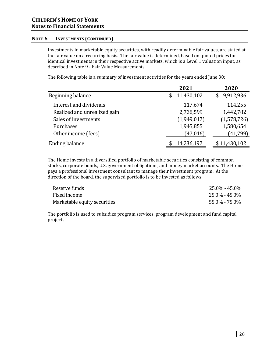#### **NOTE 6 INVESTMENTS (CONTINUED)**

Investments in marketable equity securities, with readily determinable fair values, are stated at the fair value on a recurring basis. The fair value is determined, based on quoted prices for identical investments in their respective active markets, which is a Level 1 valuation input, as described in Note 9 - Fair Value Measurements.

The following table is a summary of investment activities for the years ended June 30:

|                              | 2021             | 2020         |
|------------------------------|------------------|--------------|
| Beginning balance            | 11,430,102<br>\$ | \$9,912,936  |
| Interest and dividends       | 117,674          | 114,255      |
| Realized and unrealized gain | 2,738,599        | 1,442,782    |
| Sales of investments         | (1,949,017)      | (1,578,726)  |
| Purchases                    | 1,945,855        | 1,580,654    |
| Other income (fees)          | (47, 016)        | (41, 799)    |
| <b>Ending balance</b>        | 14,236,197       | \$11,430,102 |

The Home invests in a diversified portfolio of marketable securities consisting of common stocks, corporate bonds, U.S. government obligations, and money market accounts. The Home pays a professional investment consultant to manage their investment program. At the direction of the board, the supervised portfolio is to be invested as follows:

| Reserve funds                | 25.0% - 45.0%       |
|------------------------------|---------------------|
| Fixed income                 | $25.0\%$ - $45.0\%$ |
| Marketable equity securities | 55.0% - 75.0%       |

The portfolio is used to subsidize program services, program development and fund capital projects.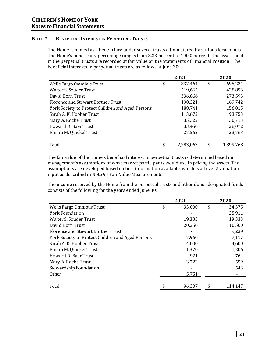#### **NOTE 7 BENEFICIAL INTEREST IN PERPETUAL TRUSTS**

The Home is named as a beneficiary under several trusts administered by various local banks. The Home's beneficiary percentage ranges from 8.33 percent to 100.0 percent. The assets held in the perpetual trusts are recorded at fair value on the Statements of Financial Position. The beneficial interests in perpetual trusts are as follows at June 30:

| 2021          | 2020          |
|---------------|---------------|
| \$<br>837,464 | \$<br>695,221 |
| 519,665       | 428,896       |
| 336,866       | 273,593       |
| 190,321       | 169,742       |
| 188,741       | 156,015       |
| 113,672       | 93,753        |
| 35,322        | 30,713        |
| 33,450        | 28,072        |
| 27,562        | 23,763        |
|               |               |
| 2,283,063     | 1,899,768     |
|               |               |

The fair value of the Home's beneficial interest in perpetual trusts is determined based on management's assumptions of what market participants would use in pricing the assets. The assumptions are developed based on best information available, which is a Level 2 valuation input as described in Note 9 - Fair Value Measurements.

The income received by the Home from the perpetual trusts and other donor designated funds consists of the following for the years ended June 30:

|                                                   | 2021         | 2020         |
|---------------------------------------------------|--------------|--------------|
| Wells Fargo Omnibus Trust                         | \$<br>33,000 | \$<br>34,375 |
| <b>York Foundation</b>                            |              | 25,911       |
| Walter S. Souder Trust                            | 19,333       | 19,333       |
| David Horn Trust                                  | 20,250       | 10,500       |
| Florence and Stewart Bortner Trust                |              | 9,239        |
| York Society to Protect Children and Aged Persons | 7,960        | 7,117        |
| Sarah A. K. Hoober Trust                          | 4,000        | 4,600        |
| Elmira M. Quickel Trust                           | 1,370        | 1,206        |
| Howard D. Baer Trust                              | 921          | 764          |
| Mary A. Roche Trust                               | 3,722        | 559          |
| Stewardship Foundation                            |              | 543          |
| <b>Other</b>                                      | 5,751        |              |
|                                                   |              |              |
| Total                                             | 96,307       | 114,147      |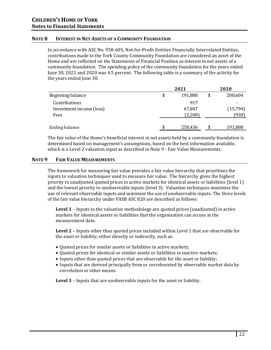#### **NOTE 8 INTEREST IN NET ASSETS OF A COMMUNITY FOUNDATION**

In accordance with ASC No. 958-605, Not-for-Profit Entities Financially Interrelated Entities, contributions made to the York County Community Foundation are considered an asset of the Home and are reflected on the Statements of Financial Position as interest in net assets of a community foundation. The spending policy of the community foundation for the years ended June 30, 2021 and 2020 was 4.5 percent. The following table is a summary of the activity for the years ended June 30.

|                          | 2021          |  |         |  |  |  |
|--------------------------|---------------|--|---------|--|--|--|
| Beginning balance        | \$<br>191,880 |  | 208,604 |  |  |  |
| Contributions            | 917           |  | ۰       |  |  |  |
| Investment income (loss) | 67,847        |  |         |  |  |  |
| Fees                     | (2,208)       |  | (930)   |  |  |  |
| Ending balance           | 258,436       |  | 191,880 |  |  |  |

The fair value of the Home's beneficial interest in net assets held by a community foundation is determined based on management's assumptions, based on the best information available, which is a Level 2 valuation input as described in Note 9 - Fair Value Measurements.

#### **NOTE 9 FAIR VALUE MEASUREMENTS**

The framework for measuring fair value provides a fair value hierarchy that prioritizes the inputs to valuation techniques used to measure fair value. The hierarchy gives the highest priority to unadjusted quoted prices in active markets for identical assets or liabilities (level 1) and the lowest priority to unobservable inputs (level 3). Valuation techniques maximize the use of relevant observable inputs and minimize the use of unobservable inputs. The three levels of the fair value hierarchy under FASB ASC 820 are described as follows:

**Level 1** – Inputs to the valuation methodology are quoted prices (unadjusted) in active markets for identical assets or liabilities that the organization can access at the measurement date.

**Level 2** – Inputs other than quoted prices included within Level 1 that are observable for the asset or liability, either directly or indirectly, such as:

- Quoted prices for similar assets or liabilities in active markets;
- Quoted prices for identical or similar assets or liabilities in inactive markets;
- Inputs other than quoted prices that are observable for the asset or liability;
- Inputs that are derived principally from or corroborated by observable market data by correlation or other means.

**Level 3** – Inputs that are unobservable inputs for the asset or liability.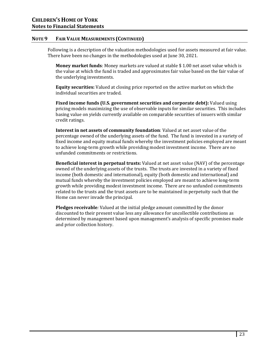#### **NOTE 9 FAIR VALUE MEASUREMENTS (CONTINUED)**

Following is a description of the valuation methodologies used for assets measured at fair value. There have been no changes in the methodologies used at June 30, 2021.

**Money market funds**: Money markets are valued at stable \$ 1.00 net asset value which is the value at which the fund is traded and approximates fair value based on the fair value of the underlying investments.

**Equity securities:** Valued at closing price reported on the active market on which the individual securities are traded.

**Fixed income funds (U.S. government securities and corporate debt):** Valued using pricing models maximizing the use of observable inputs for similar securities. This includes basing value on yields currently available on comparable securities of issuers with similar credit ratings.

**Interest in net assets of community foundation**: Valued at net asset value of the percentage owned of the underlying assets of the fund. The fund is invested in a variety of fixed income and equity mutual funds whereby the investment policies employed are meant to achieve long-term growth while providing modest investment income. There are no unfunded commitments or restrictions.

**Beneficial interest in perpetual trusts:** Valued at net asset value (NAV) of the percentage owned of the underlying assets of the trusts. The trusts are invested in a variety of fixed income (both domestic and international), equity (both domestic and international) and mutual funds whereby the investment policies employed are meant to achieve long-term growth while providing modest investment income. There are no unfunded commitments related to the trusts and the trust assets are to be maintained in perpetuity such that the Home can never invade the principal.

**Pledges receivable***:* Valued at the initial pledge amount committed by the donor discounted to their present value less any allowance for uncollectible contributions as determined by management based upon management's analysis of specific promises made and prior collection history.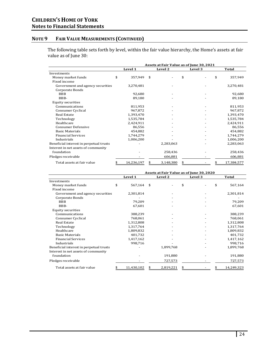#### **NOTE 9 FAIR VALUE MEASUREMENTS (CONTINUED)**

The following table sets forth by level, within the fair value hierarchy, the Home's assets at fair value as of June 30:

|                                         | Assets at Fair Value as of June 30, 2021 |            |    |                |    |         |    |            |  |
|-----------------------------------------|------------------------------------------|------------|----|----------------|----|---------|----|------------|--|
|                                         |                                          | Level 1    |    | <b>Level 2</b> |    | Level 3 |    | Total      |  |
| Investments                             |                                          |            |    |                |    |         |    |            |  |
| Money market funds                      | \$                                       | 357,949    | \$ |                | \$ |         | \$ | 357,949    |  |
| Fixed income                            |                                          |            |    |                |    |         |    |            |  |
| Government and agency securities        |                                          | 3,270,481  |    |                |    |         |    | 3,270,481  |  |
| Corporate Bonds                         |                                          |            |    |                |    |         |    |            |  |
| <b>BBB</b>                              |                                          | 92,680     |    |                |    |         |    | 92,680     |  |
| BBB-                                    |                                          | 89,180     |    |                |    |         |    | 89,180     |  |
| Equity securities                       |                                          |            |    |                |    |         |    |            |  |
| Communications                          |                                          | 811,953    |    |                |    |         |    | 811,953    |  |
| Consumer Cyclical                       |                                          | 967,872    |    |                |    |         |    | 967,872    |  |
| <b>Real Estate</b>                      |                                          | 1,393,470  |    |                |    |         |    | 1,393,470  |  |
| Technology                              |                                          | 1,535,784  |    |                |    |         |    | 1,535,784  |  |
| Healthcare                              |                                          | 2,424,911  |    |                |    |         |    | 2,424,911  |  |
| <b>Consumer Defensive</b>               |                                          | 86,556     |    |                |    |         |    | 86,556     |  |
| <b>Basic Materials</b>                  |                                          | 454,882    |    |                |    |         |    | 454,882    |  |
| <b>Financial Services</b>               |                                          | 1,744,279  |    |                |    |         |    | 1,744,279  |  |
| Industrials                             |                                          | 1,006,200  |    |                |    |         |    | 1,006,200  |  |
| Beneficial interest in perpetual trusts |                                          |            |    | 2,283,063      |    |         |    | 2,283,063  |  |
| Interest in net assets of community     |                                          |            |    |                |    |         |    |            |  |
| foundation                              |                                          |            |    | 258,436        |    |         |    | 258,436    |  |
| Pledges receivable                      |                                          |            |    | 606,881        |    |         |    | 606,881    |  |
| Total assets at fair value              |                                          | 14,236,197 | \$ | 3,148,380      |    |         |    | 17,384,577 |  |

|                                         | Assets at Fair Value as of June 30, 2020 |            |    |                |    |         |    |            |  |
|-----------------------------------------|------------------------------------------|------------|----|----------------|----|---------|----|------------|--|
|                                         |                                          | Level 1    |    | <b>Level 2</b> |    | Level 3 |    | Total      |  |
| Investments                             |                                          |            |    |                |    |         |    |            |  |
| Money market funds                      | \$                                       | 567,164    | \$ |                | \$ |         | \$ | 567,164    |  |
| Fixed income                            |                                          |            |    |                |    |         |    |            |  |
| Government and agency securities        |                                          | 2,301,814  |    |                |    |         |    | 2,301,814  |  |
| Corporate Bonds                         |                                          |            |    |                |    |         |    |            |  |
| <b>BBB</b>                              |                                          | 79,209     |    |                |    |         |    | 79,209     |  |
| BBB-                                    |                                          | 67,601     |    |                |    |         |    | 67,601     |  |
| <b>Equity securities</b>                |                                          |            |    |                |    |         |    |            |  |
| Communications                          |                                          | 388,239    |    |                |    |         |    | 388,239    |  |
| Consumer Cyclical                       |                                          | 768,061    |    |                |    |         |    | 768,061    |  |
| <b>Real Estate</b>                      |                                          | 1,312,808  |    |                |    |         |    | 1,312,808  |  |
| Technology                              |                                          | 1,317,764  |    |                |    |         |    | 1,317,764  |  |
| Healthcare                              |                                          | 1,809,832  |    |                |    |         |    | 1,809,832  |  |
| <b>Basic Materials</b>                  |                                          | 401,732    |    |                |    |         |    | 401,732    |  |
| <b>Financial Services</b>               |                                          | 1,417,162  |    |                |    |         |    | 1,417,162  |  |
| Industrials                             |                                          | 998,716    |    |                |    |         |    | 998,716    |  |
| Beneficial interest in perpetual trusts |                                          |            |    | 1,899,768      |    |         |    | 1,899,768  |  |
| Interest in net assets of community     |                                          |            |    |                |    |         |    |            |  |
| foundation                              |                                          |            |    | 191,880        |    |         |    | 191,880    |  |
| Pledges receivable                      |                                          |            |    | 727,573        |    |         |    | 727,573    |  |
| Total assets at fair value              |                                          | 11,430,102 | \$ | 2,819,221      |    |         |    | 14,249,323 |  |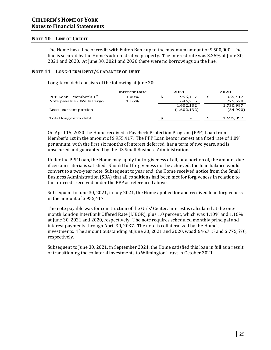#### **NOTE 10 LINE OF CREDIT**

The Home has a line of credit with Fulton Bank up to the maximum amount of \$ 500,000. The line is secured by the Home's administrative property. The interest rate was 3.25% at June 30, 2021 and 2020. At June 30, 2021 and 2020 there were no borrowings on the line.

#### **NOTE 11 LONG‐TERM DEBT/GUARANTEE OF DEBT**

Long-term debt consists of the following at June 30:

|                                     | <b>Interest Rate</b> | 2021          | 2020      |
|-------------------------------------|----------------------|---------------|-----------|
| PPP Loan - Member's 1 <sup>st</sup> | 1.00%                | \$<br>955.417 | 955,417   |
| Note payable - Wells Fargo          | 1.16%                | 646,715       | 775,570   |
|                                     |                      | 1,602,132     | 1,730,987 |
| Less: current portion               |                      | (1,602,132)   | (34,990)  |
|                                     |                      |               |           |
| Total long-term debt                |                      |               | 1,695,997 |
|                                     |                      |               |           |

On April 15, 2020 the Home received a Paycheck Protection Program (PPP) Loan from Member's 1st in the amount of \$ 955,417. The PPP Loan bears interest at a fixed rate of 1.0% per annum, with the first six months of interest deferred, has a term of two years, and is unsecured and guaranteed by the US Small Business Administration.

Under the PPP Loan, the Home may apply for forgiveness of all, or a portion of, the amount due if certain criteria is satisfied. Should full forgiveness not be achieved, the loan balance would convert to a two-year note. Subsequent to year end, the Home received notice from the Small Business Administration (SBA) that all conditions had been met for forgiveness in relation to the proceeds received under the PPP as referenced above.

Subsequent to June 30, 2021, in July 2021, the Home applied for and received loan forgiveness in the amount of \$ 955,417.

The note payable was for construction of the Girls' Center. Interest is calculated at the onemonth London InterBank Offered Rate (LIBOR), plus 1.0 percent, which was 1.10% and 1.16% at June 30, 2021 and 2020, respectively. The note requires scheduled monthly principal and interest payments through April 30, 2037. The note is collateralized by the Home's investments. The amount outstanding at June 30, 2021 and 2020, was \$ 646,715 and \$ 775,570, respectively.

Subsequent to June 30, 2021, in September 2021, the Home satisfied this loan in full as a result of transitioning the collateral investments to Wilmington Trust in October 2021.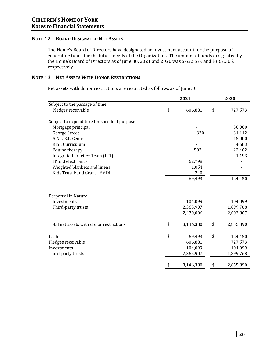#### **NOTE 12 BOARD DESIGNATED NET ASSETS**

The Home's Board of Directors have designated an investment account for the purpose of generating funds for the future needs of the Organization. The amount of funds designated by the Home's Board of Directors as of June 30, 2021 and 2020 was \$ 622,679 and \$ 667,305, respectively.

#### **NOTE 13 NET ASSETS WITH DONOR RESTRICTIONS**

|                                              |                | 2021      |     | 2020      |
|----------------------------------------------|----------------|-----------|-----|-----------|
| Subject to the passage of time               |                |           |     |           |
| Pledges receivable                           | \$             | 606,881   | -\$ | 727,573   |
| Subject to expenditure for specified purpose |                |           |     |           |
| Mortgage principal                           |                |           |     | 50,000    |
| George Street                                | 330<br>31,112  |           |     |           |
| A.N.G.E.L. Center                            | 15,000         |           |     |           |
| <b>RISE Curriculum</b>                       | 4,683          |           |     |           |
| Equine therapy                               | 5071<br>22,462 |           |     |           |
| Integrated Practice Team (IPT)               |                |           |     | 1,193     |
| IT and electronics                           | 62,798         |           |     |           |
| Weighted blankets and linens                 | 1,054          |           |     |           |
| Kids Trust Fund Grant - EMDR                 |                | 240       |     |           |
|                                              |                | 69,493    |     | 124,450   |
|                                              |                |           |     |           |
| Perpetual in Nature<br>Investments           |                | 104,099   |     | 104,099   |
| Third-party trusts                           |                | 2,365,907 |     | 1,899,768 |
|                                              |                | 2,470,006 |     | 2,003,867 |
|                                              |                |           |     |           |
| Total net assets with donor restrictions     | \$             | 3,146,380 | \$  | 2,855,890 |
| Cash                                         | \$             | 69,493    | \$  | 124,450   |
| Pledges receivable                           |                | 606,881   |     | 727,573   |
| Investments                                  |                | 104,099   |     | 104,099   |
| Third-party trusts                           |                | 2,365,907 |     | 1,899,768 |
|                                              | \$             | 3,146,380 | \$  | 2,855,890 |

Net assets with donor restrictions are restricted as follows as of June 30: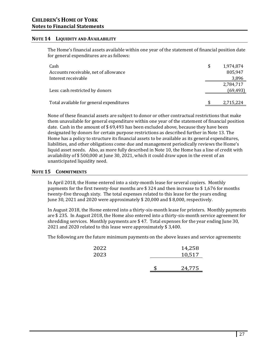#### **NOTE 14 LIQUIDITY AND AVAILABILITY**

The Home's financial assets available within one year of the statement of financial position date for general expenditures are as follows:

| Cash                                     | \$<br>1,974,874 |
|------------------------------------------|-----------------|
| Accounts receivable, net of allowance    | 805,947         |
| Interest receivable                      | 3,896           |
|                                          | 2,784,717       |
| Less: cash restricted by donors          | (69, 493)       |
|                                          |                 |
| Total available for general expenditures | 2,715,224       |

None of these financial assets are subject to donor or other contractual restrictions that make them unavailable for general expenditure within one year of the statement of financial position date. Cash in the amount of \$ 69,493 has been excluded above, because they have been designated by donors for certain purpose restrictions as described further in Note 13. The Home has a policy to structure its financial assets to be available as its general expenditures, liabilities, and other obligations come due and management periodically reviews the Home's liquid asset needs. Also, as more fully described in Note 10, the Home has a line of credit with availability of \$ 500,000 at June 30, 2021, which it could draw upon in the event of an unanticipated liquidity need.

#### **NOTE 15 COMMITMENTS**

In April 2018, the Home entered into a sixty-month lease for several copiers. Monthly payments for the first twenty-four months are \$ 324 and then increase to \$ 1,676 for months twenty-five through sixty. The total expenses related to this lease for the years ending June 30, 2021 and 2020 were approximately \$ 20,000 and \$ 8,000, respectively.

In August 2018, the Home entered into a thirty-six-month lease for printers. Monthly payments are \$ 235. In August 2018, the Home also entered into a thirty-six-month service agreement for shredding services. Monthly payments are \$ 47. Total expenses for the year ending June 30, 2021 and 2020 related to this lease were approximately \$ 3,400.

The following are the future minimum payments on the above leases and service agreements:

| 2022 | 14,258 |
|------|--------|
| 2023 | 10,517 |
|      |        |
|      | 24,775 |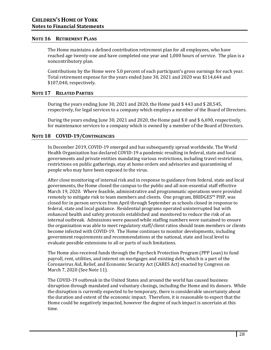#### **NOTE 16 RETIREMENT PLANS**

The Home maintains a defined contribution retirement plan for all employees, who have reached age twenty-one and have completed one year and 1,000 hours of service. The plan is a noncontributory plan.

Contributions by the Home were 5.0 percent of each participant's gross earnings for each year. Total retirement expense for the years ended June 30, 2021 and 2020 was \$114,644 and \$107,040, respectively.

#### **NOTE 17 RELATED PARTIES**

During the years ending June 30, 2021 and 2020, the Home paid \$ 443 and \$ 28,545, respectively, for legal services to a company which employs a member of the Board of Directors.

During the years ending June 30, 2021 and 2020, the Home paid \$ 0 and \$ 6,690, respectively, for maintenance services to a company which is owned by a member of the Board of Directors.

#### **NOTE 18 COVID‐19/CONTINGENCIES**

In December 2019, COVID-19 emerged and has subsequently spread worldwide. The World Health Organization has declared COVID-19 a pandemic resulting in federal, state and local governments and private entities mandating various restrictions, including travel restrictions, restrictions on public gatherings, stay at home orders and advisories and quarantining of people who may have been exposed to the virus.

After close monitoring of internal risk and in response to guidance from federal, state and local governments, the Home closed the campus to the public and all non-essential staff effective March 19, 2020. Where feasible, administrative and programmatic operations were provided remotely to mitigate risk to team members and clients. One program, BRIDGES™ PHP, was closed for in person services from April through September as schools closed in response to federal, state and local guidance. Residential programs operated uninterrupted but with enhanced health and safety protocols established and monitored to reduce the risk of an internal outbreak. Admissions were paused while staffing numbers were sustained to ensure the organization was able to meet regulatory staff/client ratios should team members or clients become infected with COVID-19. The Home continues to monitor developments, including government requirements and recommendations at the national, state and local level to evaluate possible extensions to all or parts of such limitations.

The Home also received funds through the Paycheck Protection Program (PPP Loan) to fund payroll, rent, utilities, and interest on mortgages and existing debt, which is a part of the Coronavirus Aid, Relief, and Economic Security Act (CARES Act) enacted by Congress on March 7, 2020 (See Note 11).

The COVID-19 outbreak in the United States and around the world has caused business disruption through mandated and voluntary closings, including the Home and its donors. While the disruption is currently expected to be temporary, there is considerable uncertainty about the duration and extent of the economic impact. Therefore, it is reasonable to expect that the Home could be negatively impacted, however the degree of such impact is uncertain at this time.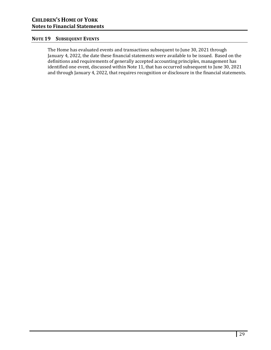#### **NOTE 19 SUBSEQUENT EVENTS**

The Home has evaluated events and transactions subsequent to June 30, 2021 through January 4, 2022, the date these financial statements were available to be issued. Based on the definitions and requirements of generally accepted accounting principles, management has identified one event, discussed within Note 11, that has occurred subsequent to June 30, 2021 and through January 4, 2022, that requires recognition or disclosure in the financial statements.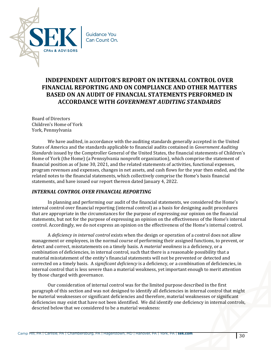

# **INDEPENDENT AUDITOR'S REPORT ON INTERNAL CONTROL OVER FINANCIAL REPORTING AND ON COMPLIANCE AND OTHER MATTERS BASED ON AN AUDIT OF FINANCIAL STATEMENTS PERFORMED IN ACCORDANCE WITH** *GOVERNMENT AUDITING STANDARDS*

Board of Directors Children's Home of York York, Pennsylvania

We have audited, in accordance with the auditing standards generally accepted in the United States of America and the standards applicable to financial audits contained in *Government Auditing Standards* issued by the Comptroller General of the United States, the financial statements of Children's Home of York (the Home) (a Pennsylvania nonprofit organization), which comprise the statement of financial position as of June 30, 2021, and the related statements of activities, functional expenses, program revenues and expenses, changes in net assets, and cash flows for the year then ended, and the related notes to the financial statements, which collectively comprise the Home's basis financial statements, and have issued our report thereon dated January 4, 2022.

#### *INTERNAL CONTROL OVER FINANCIAL REPORTING*

In planning and performing our audit of the financial statements, we considered the Home's internal control over financial reporting (internal control) as a basis for designing audit procedures that are appropriate in the circumstances for the purpose of expressing our opinion on the financial statements, but not for the purpose of expressing an opinion on the effectiveness of the Home's internal control. Accordingly, we do not express an opinion on the effectiveness of the Home's internal control.

A *deficiency in internal control* exists when the design or operation of a control does not allow management or employees, in the normal course of performing their assigned functions, to prevent, or detect and correct, misstatements on a timely basis. A *material weakness* is a deficiency, or a combination of deficiencies, in internal control, such that there is a reasonable possibility that a material misstatement of the entity's financial statements will not be prevented or detected and corrected on a timely basis. A *significant deficiency* is a deficiency, or a combination of deficiencies, in internal control that is less severe than a material weakness, yet important enough to merit attention by those charged with governance.

Our consideration of internal control was for the limited purpose described in the first paragraph of this section and was not designed to identify all deficiencies in internal control that might be material weaknesses or significant deficiencies and therefore, material weaknesses or significant deficiencies may exist that have not been identified. We did identify one deficiency in internal controls, descried below that we considered to be a material weakness: